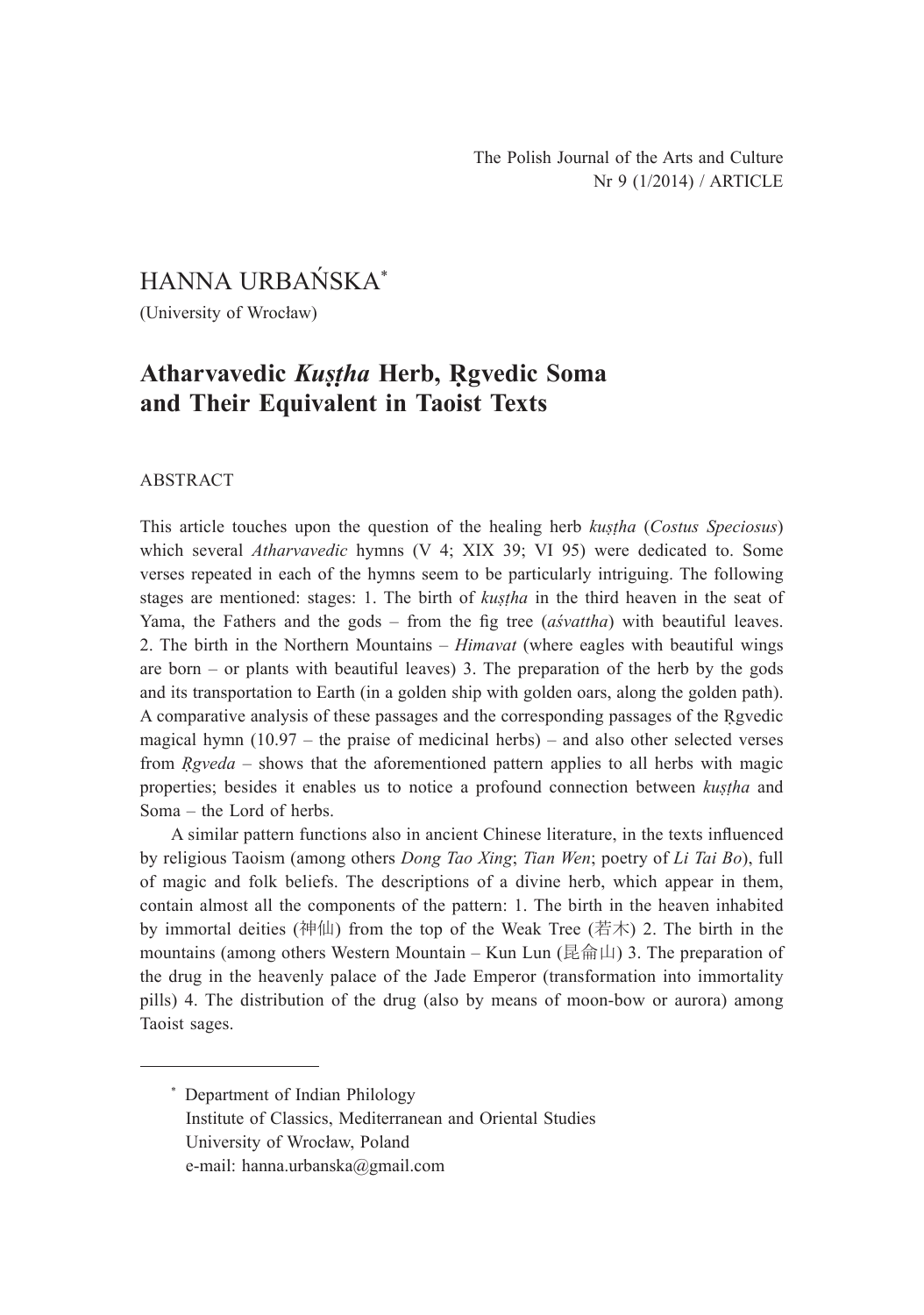HANNA URBAŃSKA\*

(University of Wrocław)

# **Atharvavedic** *Kuṣṭha* **Herb, Ṛgvedic Soma and Their Equivalent in Taoist Texts**

### ABSTRACT

This article touches upon the question of the healing herb *kuṣṭha* (*Costus Speciosus*) which several *Atharvavedic* hymns (V 4; XIX 39; VI 95) were dedicated to. Some verses repeated in each of the hymns seem to be particularly intriguing. The following stages are mentioned: stages: 1. The birth of *kuṣṭha* in the third heaven in the seat of Yama, the Fathers and the gods – from the fig tree (*aśvattha*) with beautiful leaves. 2. The birth in the Northern Mountains – *Himavat* (where eagles with beautiful wings are born – or plants with beautiful leaves) 3. The preparation of the herb by the gods and its transportation to Earth (in a golden ship with golden oars, along the golden path). A comparative analysis of these passages and the corresponding passages of the Ṛgvedic magical hymn  $(10.97 -$  the praise of medicinal herbs) – and also other selected verses from *Ṛgveda* – shows that the aforementioned pattern applies to all herbs with magic properties; besides it enables us to notice a profound connection between *kuṣṭha* and Soma – the Lord of herbs.

A similar pattern functions also in ancient Chinese literature, in the texts influenced by religious Taoism (among others *Dong Tao Xing*; *Tian Wen*; poetry of *Li Tai Bo*), full of magic and folk beliefs. The descriptions of a divine herb, which appear in them, contain almost all the components of the pattern: 1. The birth in the heaven inhabited by immortal deities (神仙) from the top of the Weak Tree (若木) 2. The birth in the mountains (among others Western Mountain – Kun Lun (昆侖山) 3. The preparation of the drug in the heavenly palace of the Jade Emperor (transformation into immortality pills) 4. The distribution of the drug (also by means of moon-bow or aurora) among Taoist sages.

<sup>\*</sup> Department of Indian Philology Institute of Classics, Mediterranean and Oriental Studies University of Wrocław, Poland e-mail: hanna.urbanska@gmail.com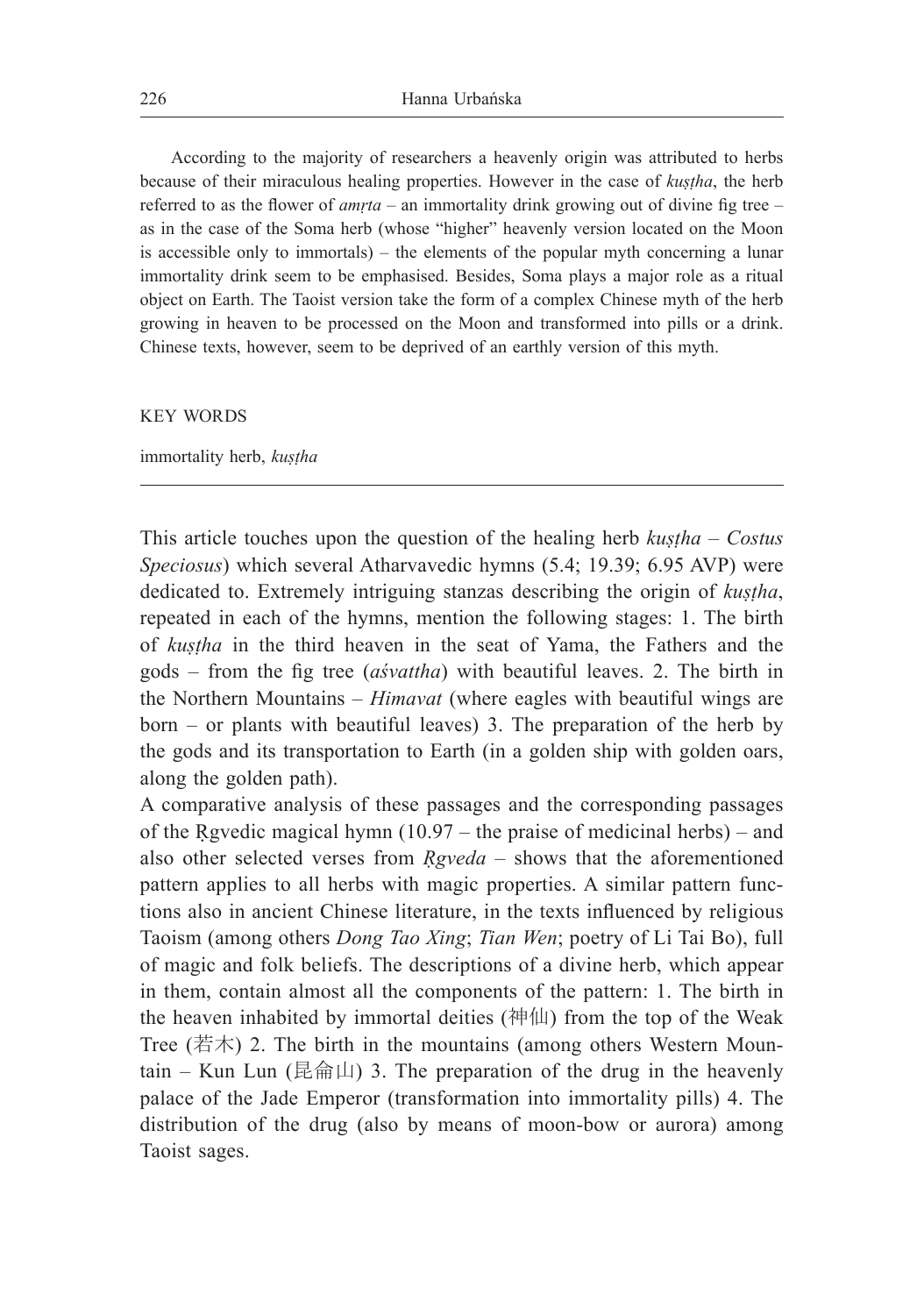According to the majority of researchers a heavenly origin was attributed to herbs because of their miraculous healing properties. However in the case of *kuṣṭha*, the herb referred to as the flower of *amṛta* – an immortality drink growing out of divine fig tree – as in the case of the Soma herb (whose "higher" heavenly version located on the Moon is accessible only to immortals) – the elements of the popular myth concerning a lunar immortality drink seem to be emphasised. Besides, Soma plays a major role as a ritual object on Earth. The Taoist version take the form of a complex Chinese myth of the herb growing in heaven to be processed on the Moon and transformed into pills or a drink. Chinese texts, however, seem to be deprived of an earthly version of this myth.

#### KEY WORDS

#### immortality herb, *kuṣṭha*

This article touches upon the question of the healing herb *kustha – Costus Speciosus*) which several Atharvavedic hymns (5.4; 19.39; 6.95 AVP) were dedicated to. Extremely intriguing stanzas describing the origin of *kuṣṭha*, repeated in each of the hymns, mention the following stages: 1. The birth of *kuṣṭha* in the third heaven in the seat of Yama, the Fathers and the gods – from the fig tree (*aśvattha*) with beautiful leaves. 2. The birth in the Northern Mountains – *Himavat* (where eagles with beautiful wings are born – or plants with beautiful leaves) 3. The preparation of the herb by the gods and its transportation to Earth (in a golden ship with golden oars, along the golden path).

A comparative analysis of these passages and the corresponding passages of the Rgvedic magical hymn  $(10.97 -$  the praise of medicinal herbs) – and also other selected verses from *Ṛgveda* – shows that the aforementioned pattern applies to all herbs with magic properties. A similar pattern functions also in ancient Chinese literature, in the texts influenced by religious Taoism (among others *Dong Tao Xing*; *Tian Wen*; poetry of Li Tai Bo), full of magic and folk beliefs. The descriptions of a divine herb, which appear in them, contain almost all the components of the pattern: 1. The birth in the heaven inhabited by immortal deities  $($ 神仙) from the top of the Weak Tree (若木) 2. The birth in the mountains (among others Western Mountain – Kun Lun (昆侖山) 3. The preparation of the drug in the heavenly palace of the Jade Emperor (transformation into immortality pills) 4. The distribution of the drug (also by means of moon-bow or aurora) among Taoist sages.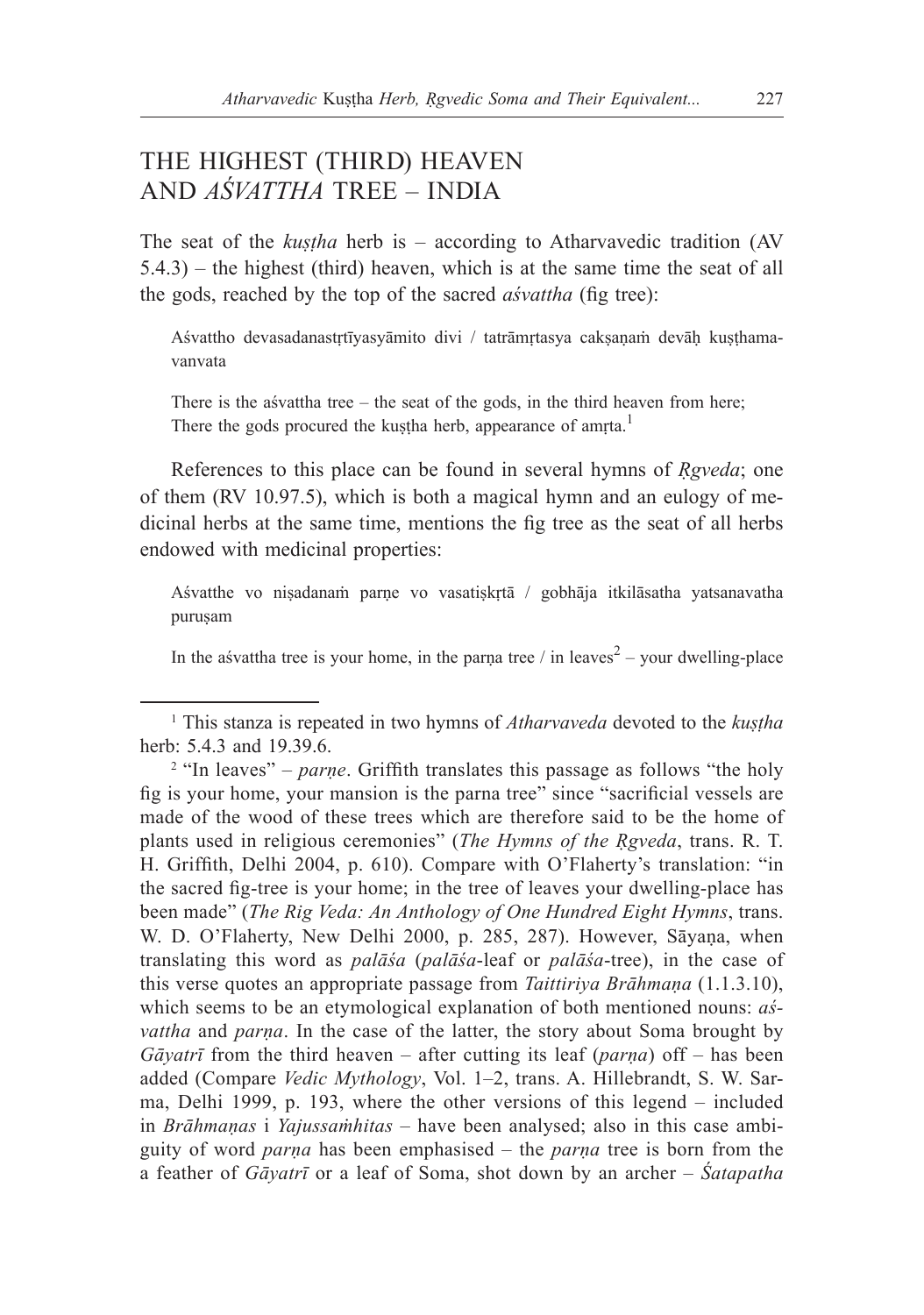## THE HIGHEST (THIRD) HEAVEN AND *AŚVATTHA* TREE – INDIA

The seat of the *kuṣṭha* herb is – according to Atharvavedic tradition (AV 5.4.3) – the highest (third) heaven, which is at the same time the seat of all the gods, reached by the top of the sacred *aśvattha* (fig tree):

Aśvattho devasadanastṛtīyasyāmito divi / tatrāmṛtasya cakṣaṇaṁ devāḥ kuṣṭhamavanvata

There is the aśvattha tree – the seat of the gods, in the third heaven from here; There the gods procured the kuṣṭha herb, appearance of amṛta.<sup>1</sup>

References to this place can be found in several hymns of *Ṛgveda*; one of them (RV 10.97.5), which is both a magical hymn and an eulogy of medicinal herbs at the same time, mentions the fig tree as the seat of all herbs endowed with medicinal properties:

Aśvatthe vo niṣadanaṁ parṇe vo vasatiṣkṛtā / gobhāja itkilāsatha yatsanavatha puruṣam

In the asvattha tree is your home, in the parṇa tree  $\ell$  in leaves<sup>2</sup> – your dwelling-place

<sup>1</sup> This stanza is repeated in two hymns of *Atharvaveda* devoted to the *kuṣṭha* herb: 5.4.3 and 19.39.6.

<sup>&</sup>lt;sup>2</sup> "In leaves" – *parne*. Griffith translates this passage as follows "the holy fig is your home, your mansion is the parna tree" since "sacrificial vessels are made of the wood of these trees which are therefore said to be the home of plants used in religious ceremonies" (*The Hymns of the Ṛgveda*, trans. R. T. H. Griffith, Delhi 2004, p. 610). Compare with O'Flaherty's translation: "in the sacred fig-tree is your home; in the tree of leaves your dwelling-place has been made" (*The Rig Veda: An Anthology of One Hundred Eight Hymns*, trans. W. D. O'Flaherty, New Delhi 2000, p. 285, 287). However, Sāyaṇa, when translating this word as *palāśa* (*palāśa*-leaf or *palāśa*-tree), in the case of this verse quotes an appropriate passage from *Taittiriya Brāhmaṇa* (1.1.3.10), which seems to be an etymological explanation of both mentioned nouns: *aśvattha* and *parṇa*. In the case of the latter, the story about Soma brought by *Gāyatrī* from the third heaven – after cutting its leaf (*parṇa*) off – has been added (Compare *Vedic Mythology*, Vol. 1–2, trans. A. Hillebrandt, S. W. Sarma, Delhi 1999, p. 193, where the other versions of this legend – included in *Brāhmaṇas* i *Yajussaṁhitas* – have been analysed; also in this case ambiguity of word *parṇa* has been emphasised – the *parṇa* tree is born from the a feather of *Gāyatrī* or a leaf of Soma, shot down by an archer – *Śatapatha*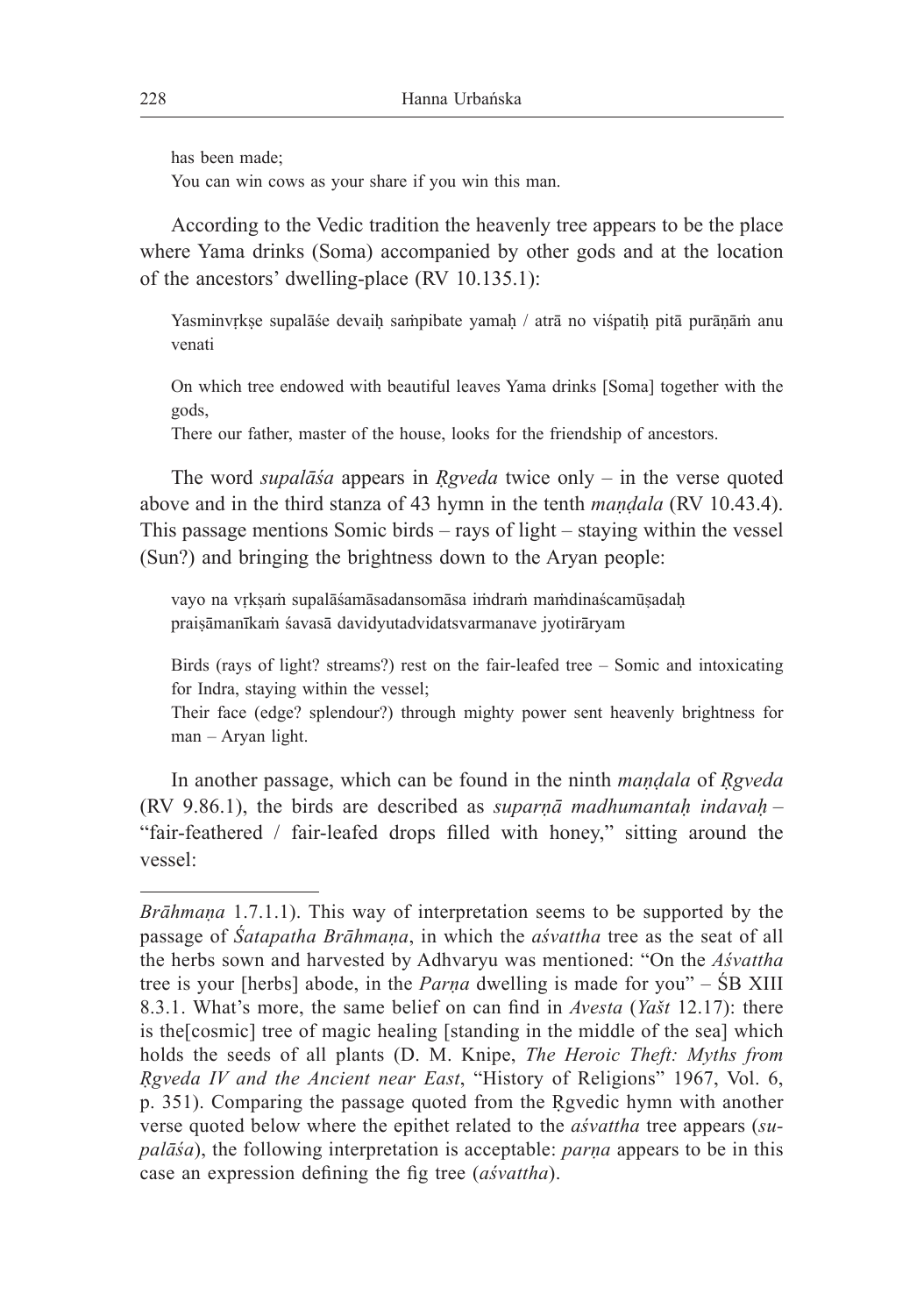has been made;

You can win cows as your share if you win this man.

According to the Vedic tradition the heavenly tree appears to be the place where Yama drinks (Soma) accompanied by other gods and at the location of the ancestors' dwelling-place (RV 10.135.1):

Yasminvrkse supalāše devaih sampibate yamah / atrā no višpatih pitā purānām anu venati

On which tree endowed with beautiful leaves Yama drinks [Soma] together with the gods,

There our father, master of the house, looks for the friendship of ancestors.

The word *supalāśa* appears in *Ṛgveda* twice only – in the verse quoted above and in the third stanza of 43 hymn in the tenth *maṇḍala* (RV 10.43.4). This passage mentions Somic birds – rays of light – staying within the vessel (Sun?) and bringing the brightness down to the Aryan people:

vayo na vṛkṣaṁ supalāśamāsadansomāsa iṁdraṁ maṁdinaścamūṣadaḥ praiṣāmanīkaṁ śavasā davidyutadvidatsvarmanave jyotirāryam

Birds (rays of light? streams?) rest on the fair-leafed tree – Somic and intoxicating for Indra, staying within the vessel;

Their face (edge? splendour?) through mighty power sent heavenly brightness for man – Aryan light.

In another passage, which can be found in the ninth *maṇḍala* of *Ṛgveda* (RV 9.86.1), the birds are described as *suparṇā madhumantaḥ indavaḥ* – "fair-feathered / fair-leafed drops filled with honey," sitting around the vessel:

*Brāhmaṇa* 1.7.1.1). This way of interpretation seems to be supported by the passage of *Śatapatha Brāhmaṇa*, in which the *aśvattha* tree as the seat of all the herbs sown and harvested by Adhvaryu was mentioned: "On the *Aśvattha* tree is your [herbs] abode, in the *Parṇa* dwelling is made for you" – ŚB XIII 8.3.1. What's more, the same belief on can find in *Avesta* (*Yašt* 12.17): there is the[cosmic] tree of magic healing [standing in the middle of the sea] which holds the seeds of all plants (D. M. Knipe, *The Heroic Theft: Myths from Ṛgveda IV and the Ancient near East*, "History of Religions" 1967, Vol. 6, p. 351). Comparing the passage quoted from the Ṛgvedic hymn with another verse quoted below where the epithet related to the *aśvattha* tree appears (*supalāśa*), the following interpretation is acceptable: *parṇa* appears to be in this case an expression defining the fig tree (*aśvattha*).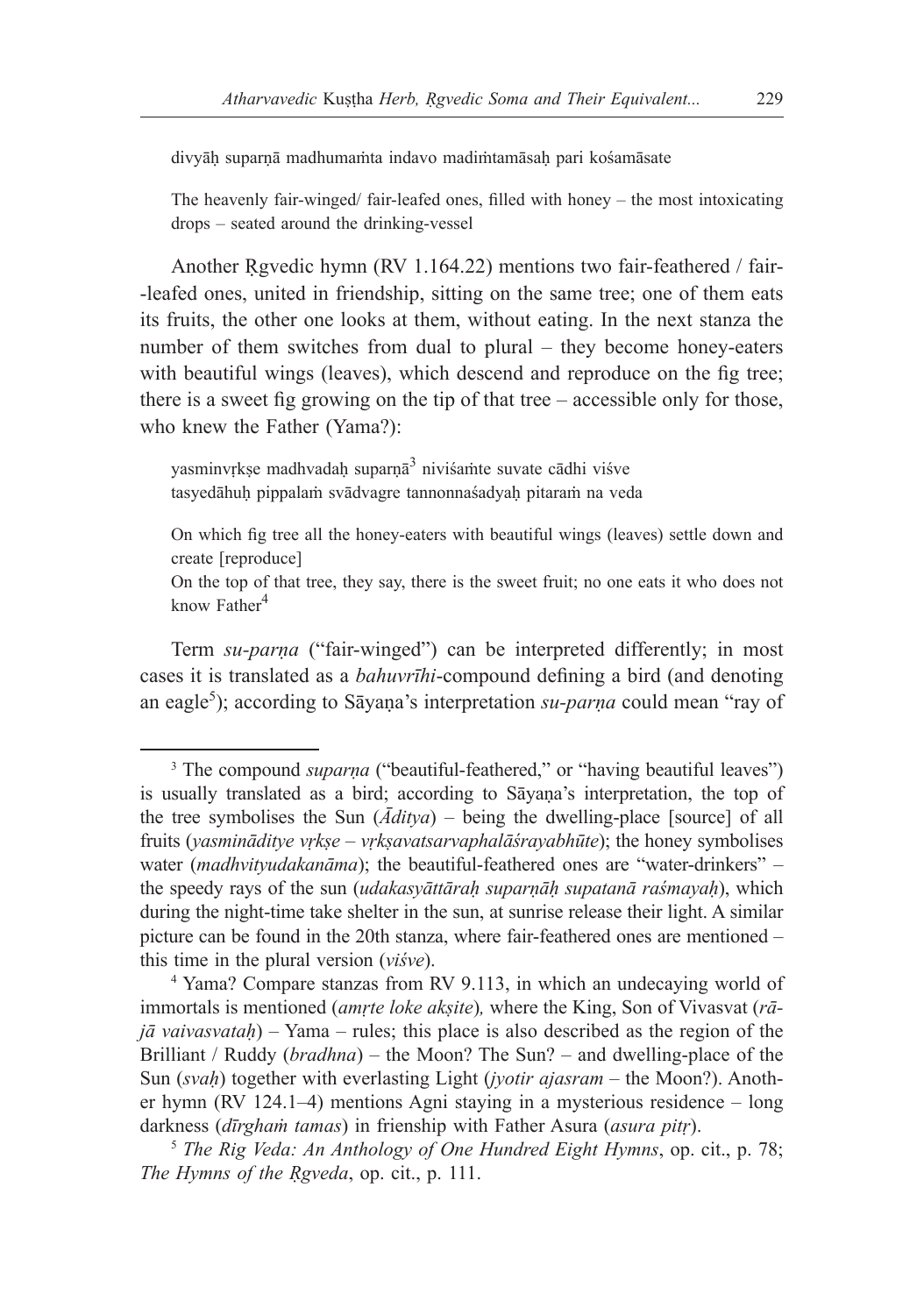divyāḥ suparṇā madhumaṁta indavo madiṁtamāsaḥ pari kośamāsate

The heavenly fair-winged/ fair-leafed ones, filled with honey – the most intoxicating drops – seated around the drinking-vessel

Another Rgvedic hymn (RV 1.164.22) mentions two fair-feathered / fair--leafed ones, united in friendship, sitting on the same tree; one of them eats its fruits, the other one looks at them, without eating. In the next stanza the number of them switches from dual to plural – they become honey-eaters with beautiful wings (leaves), which descend and reproduce on the fig tree; there is a sweet fig growing on the tip of that tree – accessible only for those, who knew the Father (Yama?):

yasminvṛkṣe madhvadaḥ suparṇā3 niviśamte suvate cādhi viśve tasyedāhuḥ pippalaṁ svādvagre tannonnaśadyaḥ pitaraṁ na veda

On which fig tree all the honey-eaters with beautiful wings (leaves) settle down and create [reproduce]

On the top of that tree, they say, there is the sweet fruit; no one eats it who does not know  $Father<sup>4</sup>$ 

Term *su-parṇa* ("fair-winged") can be interpreted differently; in most cases it is translated as a *bahuvrīhi*-compound defining a bird (and denoting an eagle<sup>5</sup>); according to Sāyaṇa's interpretation *su-parṇa* could mean "ray of

<sup>&</sup>lt;sup>3</sup> The compound *suparna* ("beautiful-feathered," or "having beautiful leaves") is usually translated as a bird; according to Sāyaṇa's interpretation, the top of the tree symbolises the Sun (*Āditya*) – being the dwelling-place [source] of all fruits (*yasmināditye vṛkṣe – vṛkṣavatsarvaphalāśrayabhūte*); the honey symbolises water (*madhvityudakanāma*); the beautiful-feathered ones are "water-drinkers" – the speedy rays of the sun (*udakasyāttāraḥ suparṇāḥ supatanā raśmayaḥ*), which during the night-time take shelter in the sun, at sunrise release their light. A similar picture can be found in the 20th stanza, where fair-feathered ones are mentioned – this time in the plural version (*viśve*).

<sup>4</sup> Yama? Compare stanzas from RV 9.113, in which an undecaying world of immortals is mentioned (*amṛte loke akṣite*)*,* where the King, Son of Vivasvat (*rājā vaivasvataḥ*) – Yama – rules; this place is also described as the region of the Brilliant / Ruddy (*bradhna*) – the Moon? The Sun? – and dwelling-place of the Sun (*svaḥ*) together with everlasting Light (*jyotir ajasram* – the Moon?). Another hymn (RV 124.1–4) mentions Agni staying in a mysterious residence – long darkness (*dīrghaṁ tamas*) in frienship with Father Asura (*asura pitṛ*).

<sup>5</sup> *The Rig Veda: An Anthology of One Hundred Eight Hymns*, op. cit., p. 78; *The Hymns of the Rgveda, op. cit., p. 111.*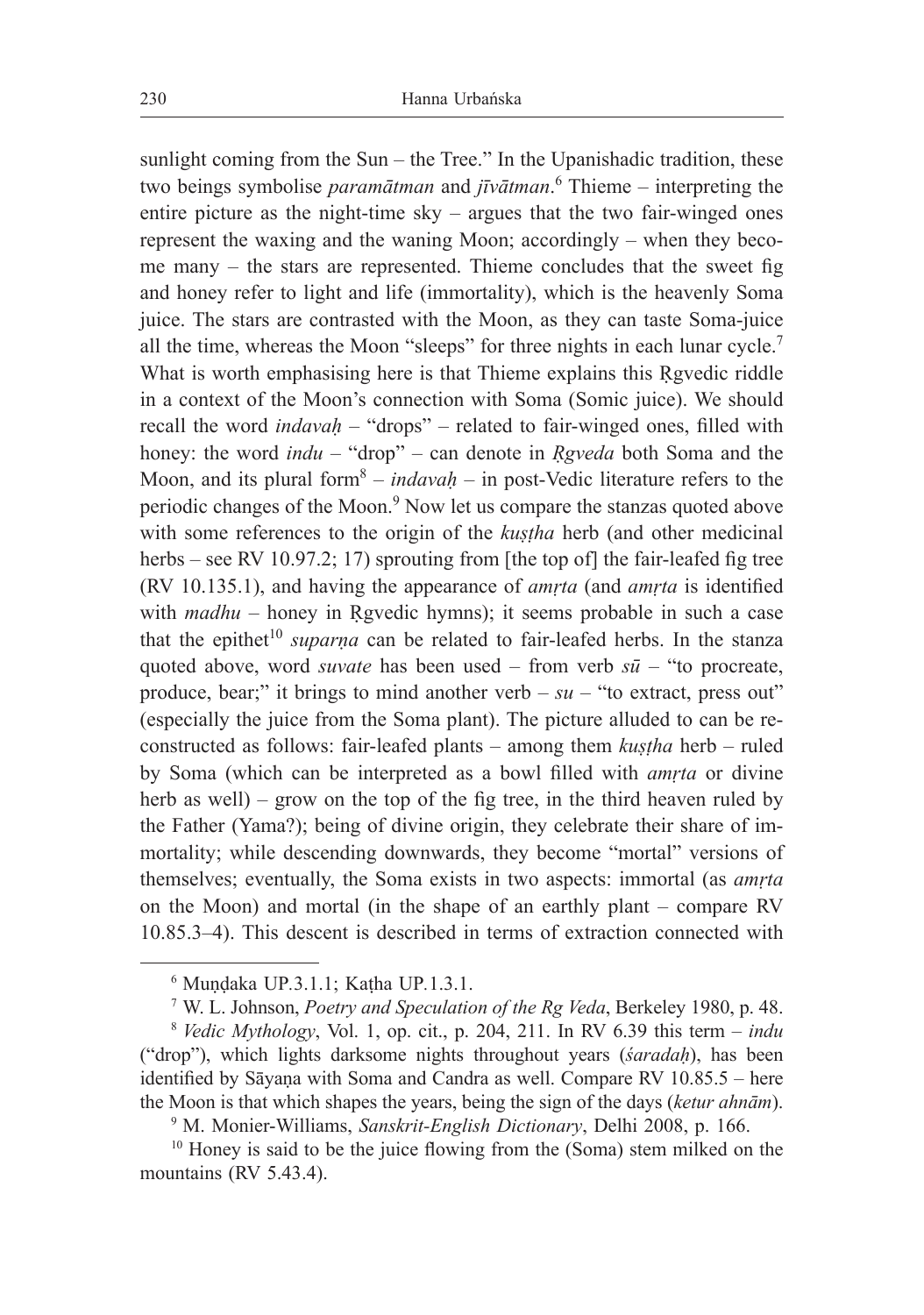sunlight coming from the Sun – the Tree." In the Upanishadic tradition, these two beings symbolise *paramātman* and *jīvātman*. 6 Thieme – interpreting the entire picture as the night-time sky – argues that the two fair-winged ones represent the waxing and the waning Moon; accordingly – when they become many – the stars are represented. Thieme concludes that the sweet fig and honey refer to light and life (immortality), which is the heavenly Soma juice. The stars are contrasted with the Moon, as they can taste Soma-juice all the time, whereas the Moon "sleeps" for three nights in each lunar cycle.7 What is worth emphasising here is that Thieme explains this Rgvedic riddle in a context of the Moon's connection with Soma (Somic juice). We should recall the word *indavah* – "drops" – related to fair-winged ones, filled with honey: the word *indu* – "drop" – can denote in *Rgveda* both Soma and the Moon, and its plural form<sup>8</sup> – *indavah* – in post-Vedic literature refers to the periodic changes of the Moon.<sup>9</sup> Now let us compare the stanzas quoted above with some references to the origin of the *kustha* herb (and other medicinal herbs – see RV 10.97.2; 17) sprouting from [the top of] the fair-leafed fig tree (RV 10.135.1), and having the appearance of *amṛta* (and *amṛta* is identified with *madhu* – honey in Rgvedic hymns); it seems probable in such a case that the epithet<sup>10</sup> *suparna* can be related to fair-leafed herbs. In the stanza quoted above, word *suvate* has been used – from verb *sū* – "to procreate, produce, bear;" it brings to mind another verb  $- su -$ "to extract, press out" (especially the juice from the Soma plant). The picture alluded to can be reconstructed as follows: fair-leafed plants – among them *kuṣṭha* herb – ruled by Soma (which can be interpreted as a bowl filled with *amṛta* or divine herb as well) – grow on the top of the fig tree, in the third heaven ruled by the Father (Yama?); being of divine origin, they celebrate their share of immortality; while descending downwards, they become "mortal" versions of themselves; eventually, the Soma exists in two aspects: immortal (as *amṛta* on the Moon) and mortal (in the shape of an earthly plant – compare RV 10.85.3–4). This descent is described in terms of extraction connected with

<sup>6</sup> Muṇḍaka UP*.*3.1.1; Kaṭha UP*.*1.3.1. 7 W. L. Johnson, *Poetry and Speculation of the Rg Veda*, Berkeley 1980, p. 48.

<sup>8</sup> *Vedic Mythology*, Vol. 1, op. cit., p. 204, 211. In RV 6.39 this term – *indu*  ("drop"), which lights darksome nights throughout years (*śaradaḥ*), has been identified by Sāyaṇa with Soma and Candra as well. Compare RV 10.85.5 – here the Moon is that which shapes the years, being the sign of the days (*ketur ahnām*).

<sup>9</sup> M. Monier-Williams, *Sanskrit-English Dictionary*, Delhi 2008, p. 166.

<sup>&</sup>lt;sup>10</sup> Honey is said to be the juice flowing from the (Soma) stem milked on the mountains (RV 5.43.4).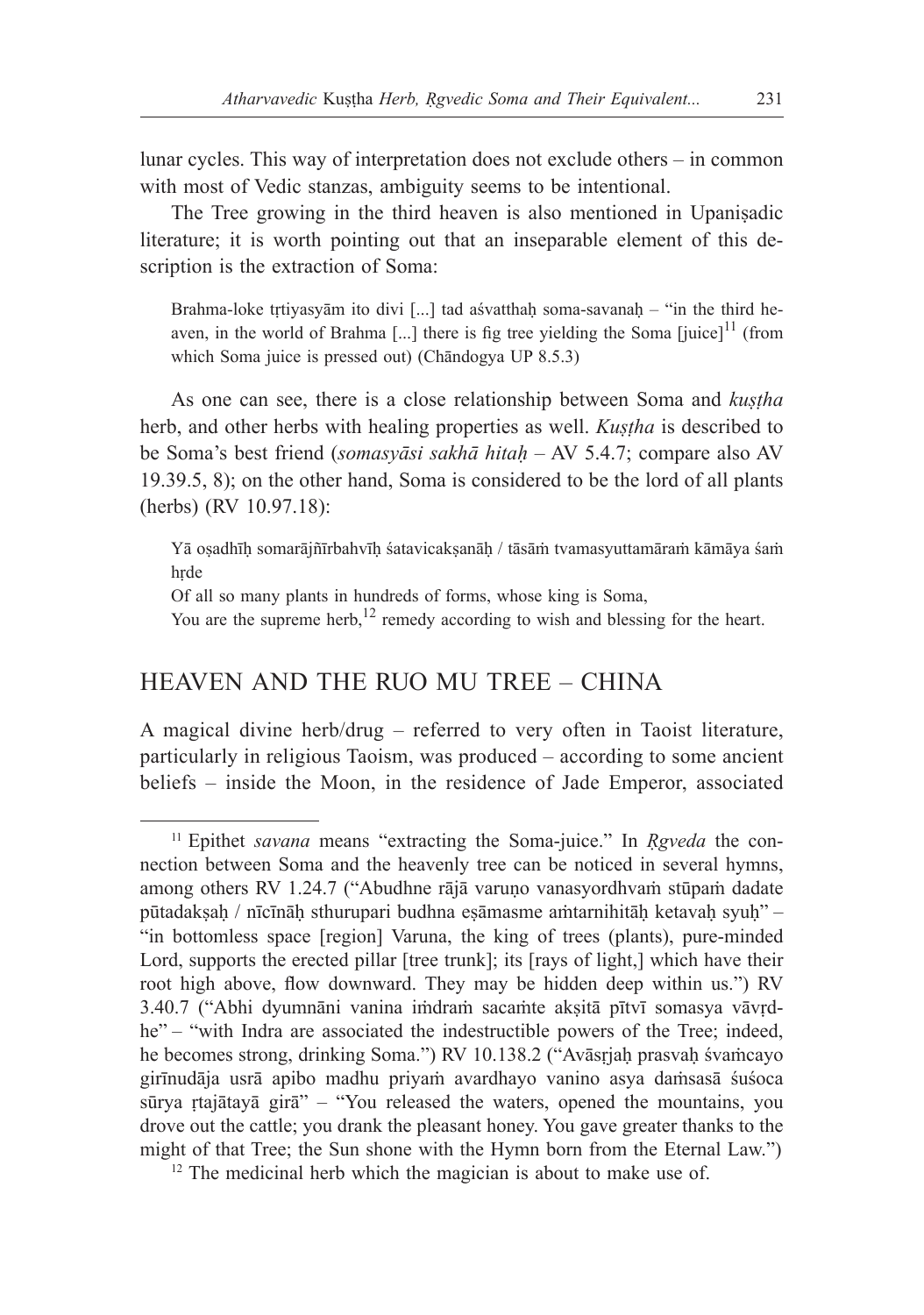lunar cycles. This way of interpretation does not exclude others – in common with most of Vedic stanzas, ambiguity seems to be intentional.

The Tree growing in the third heaven is also mentioned in Upaniṣadic literature; it is worth pointing out that an inseparable element of this description is the extraction of Soma:

Brahma-loke trtiyasyām ito divi [...] tad aśvatthaḥ soma-savanaḥ – "in the third heaven, in the world of Brahma [...] there is fig tree yielding the Soma [juice] $11$  (from which Soma juice is pressed out) (Chāndogya UP 8.5.3)

As one can see, there is a close relationship between Soma and *kuṣṭha* herb, and other herbs with healing properties as well. *Kustha* is described to be Soma's best friend (*somasyāsi sakhā hitaḥ* ‒ AV 5.4.7; compare also AV 19.39.5, 8); on the other hand, Soma is considered to be the lord of all plants (herbs) (RV 10.97.18):

Yā oṣadhīḥ somarājñīrbahvīḥ śatavicakṣanāḥ / tāsāṁ tvamasyuttamāraṁ kāmāya śaṁ hṛde

Of all so many plants in hundreds of forms, whose king is Soma,

You are the supreme herb,  $12$  remedy according to wish and blessing for the heart.

### HEAVEN AND THE RUO MU TREE – CHINA

A magical divine herb/drug – referred to very often in Taoist literature, particularly in religious Taoism, was produced – according to some ancient beliefs – inside the Moon, in the residence of Jade Emperor, associated

<sup>11</sup> Epithet *savana* means "extracting the Soma-juice." In *Ṛgveda* the connection between Soma and the heavenly tree can be noticed in several hymns, among others RV 1.24.7 ("Abudhne rājā varuṇo vanasyordhvaṁ stūpaṁ dadate pūtadakṣaḥ / nīcīnāḥ sthurupari budhna eṣāmasme aṁtarnihitāḥ ketavaḥ syuḥ" – "in bottomless space [region] Varuna, the king of trees (plants), pure-minded Lord, supports the erected pillar [tree trunk]; its [rays of light,] which have their root high above, flow downward. They may be hidden deep within us.") RV 3.40.7 ("Abhi dyumnāni vanina iṁdraṁ sacaṁte akṣitā pītvī somasya vāvṛdhe" – "with Indra are associated the indestructible powers of the Tree; indeed, he becomes strong, drinking Soma.") RV 10.138.2 ("Avāsṛjaḥ prasvaḥ śvaṁcayo girīnudāja usrā apibo madhu priyaṁ avardhayo vanino asya daṁsasā śuśoca sūrya ṛtajātayā girā" – "You released the waters, opened the mountains, you drove out the cattle; you drank the pleasant honey. You gave greater thanks to the might of that Tree; the Sun shone with the Hymn born from the Eternal Law.")

<sup>&</sup>lt;sup>12</sup> The medicinal herb which the magician is about to make use of.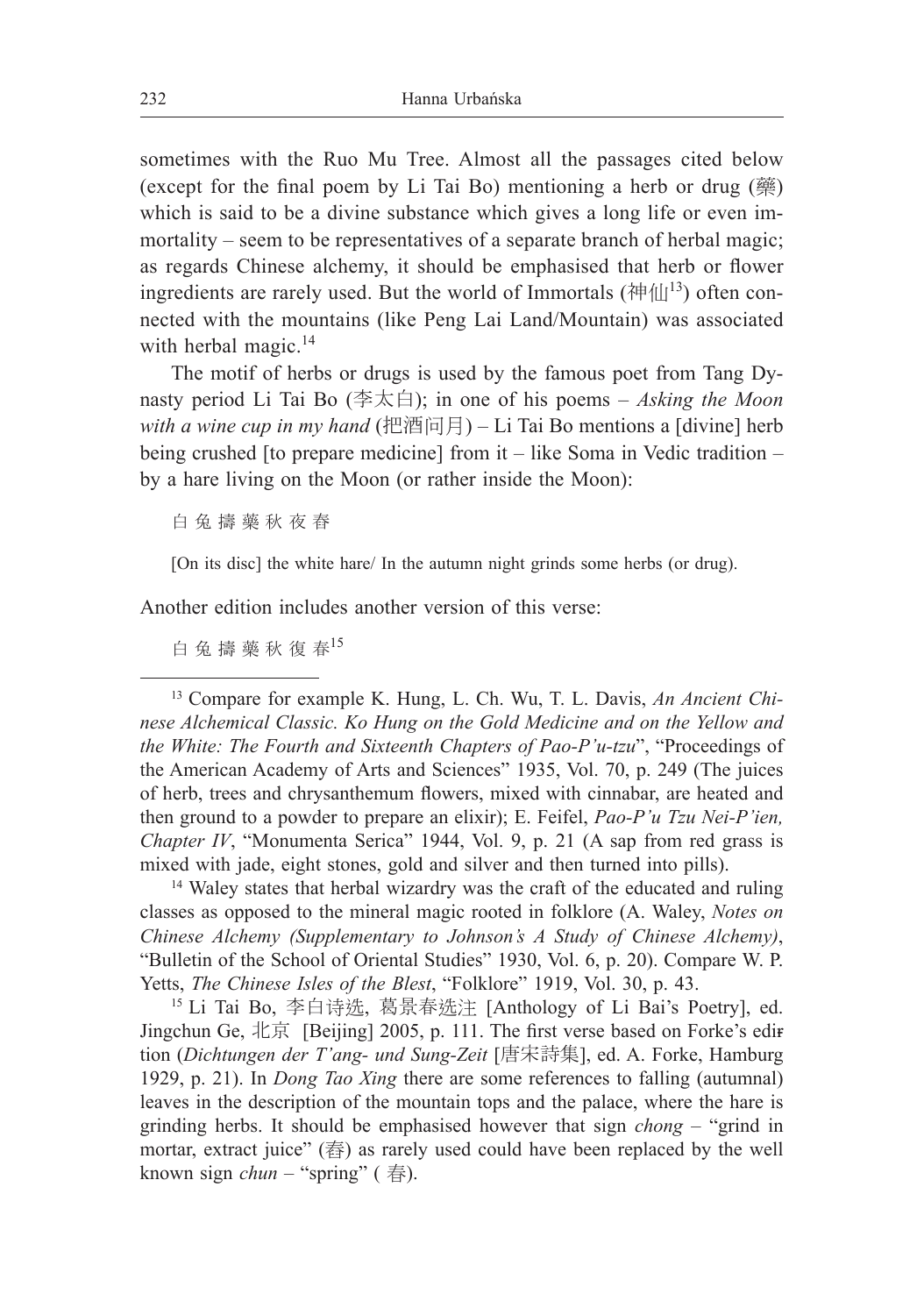sometimes with the Ruo Mu Tree. Almost all the passages cited below (except for the final poem by Li Tai Bo) mentioning a herb or drug (藥) which is said to be a divine substance which gives a long life or even immortality – seem to be representatives of a separate branch of herbal magic; as regards Chinese alchemy, it should be emphasised that herb or flower ingredients are rarely used. But the world of Immortals (神仙<sup>13</sup>) often connected with the mountains (like Peng Lai Land/Mountain) was associated with herbal magic. $14$ 

The motif of herbs or drugs is used by the famous poet from Tang Dynasty period Li Tai Bo (李太白); in one of his poems – *Asking the Moon with a wine cup in my hand* (把酒问月) – Li Tai Bo mentions a [divine] herb being crushed [to prepare medicine] from it – like Soma in Vedic tradition – by a hare living on the Moon (or rather inside the Moon):

白 兔 擣 藥 秋 夜 舂

[On its disc] the white hare/ In the autumn night grinds some herbs (or drug).

Another edition includes another version of this verse:

白 兔 擣 藥 秋 復 春 $15$ 

<sup>13</sup> Compare for example K. Hung, L. Ch. Wu, T. L. Davis, *An Ancient Chinese Alchemical Classic. Ko Hung on the Gold Medicine and on the Yellow and the White: The Fourth and Sixteenth Chapters of Pao-P'u-tzu*", "Proceedings of the American Academy of Arts and Sciences" 1935, Vol. 70, p. 249 (The juices of herb, trees and chrysanthemum flowers, mixed with cinnabar, are heated and then ground to a powder to prepare an elixir); E. Feifel, *Pao-P'u Tzu Nei-P'ien, Chapter IV*, "Monumenta Serica" 1944, Vol. 9, p. 21 (A sap from red grass is mixed with jade, eight stones, gold and silver and then turned into pills).

<sup>14</sup> Waley states that herbal wizardry was the craft of the educated and ruling classes as opposed to the mineral magic rooted in folklore (A. Waley, *Notes on Chinese Alchemy (Supplementary to Johnson's A Study of Chinese Alchemy)*, "Bulletin of the School of Oriental Studies" 1930, Vol. 6, p. 20). Compare W. P. Yetts, *The Chinese Isles of the Blest*, "Folklore" 1919, Vol. 30, p. 43.

<sup>15</sup> Li Tai Bo, 李白诗选, 葛景春选注 [Anthology of Li Bai's Poetry], ed. Jingchun Ge, 北京 [Beijing] 2005, p. 111. The first verse based on Forke's edition (*Dichtungen der T'ang- und Sung-Zeit* [唐宋詩集], ed. A. Forke, Hamburg 1929, p. 21). In *Dong Tao Xing* there are some references to falling (autumnal) leaves in the description of the mountain tops and the palace, where the hare is grinding herbs. It should be emphasised however that sign *chong* – "grind in mortar, extract juice" (舂) as rarely used could have been replaced by the well known sign *chun* – "spring" ( 春).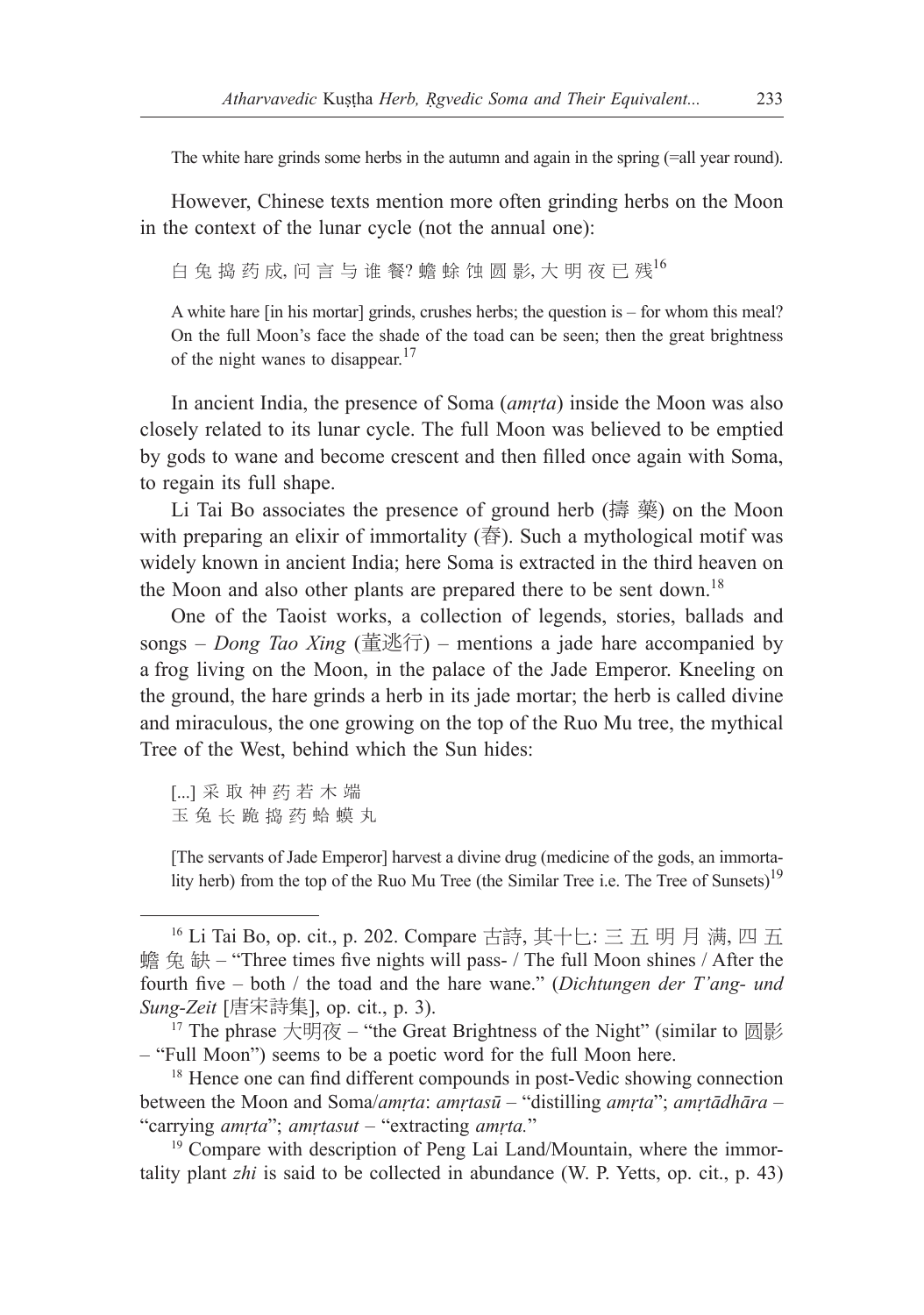The white hare grinds some herbs in the autumn and again in the spring (=all year round).

However, Chinese texts mention more often grinding herbs on the Moon in the context of the lunar cycle (not the annual one):

白 兔 捣 药 成, 问 言 与 谁 餐? 蟾 蜍 蚀 圆 影, 大 明 夜 已 残 $^{16}$ 

A white hare [in his mortar] grinds, crushes herbs; the question is – for whom this meal? On the full Moon's face the shade of the toad can be seen; then the great brightness of the night wanes to disappear.<sup>17</sup>

In ancient India, the presence of Soma (*amṛta*) inside the Moon was also closely related to its lunar cycle. The full Moon was believed to be emptied by gods to wane and become crescent and then filled once again with Soma, to regain its full shape.

Li Tai Bo associates the presence of ground herb (擣 藥) on the Moon with preparing an elixir of immortality  $(\frac{1}{3})$ . Such a mythological motif was widely known in ancient India; here Soma is extracted in the third heaven on the Moon and also other plants are prepared there to be sent down.<sup>18</sup>

One of the Taoist works, a collection of legends, stories, ballads and songs – *Dong Tao Xing* (董逃行) – mentions a jade hare accompanied by a frog living on the Moon, in the palace of the Jade Emperor. Kneeling on the ground, the hare grinds a herb in its jade mortar; the herb is called divine and miraculous, the one growing on the top of the Ruo Mu tree, the mythical Tree of the West, behind which the Sun hides:

[...] 采 取 神 药 若 木 端 玉兔长跪捣药蛤蟆丸

[The servants of Jade Emperor] harvest a divine drug (medicine of the gods, an immortality herb) from the top of the Ruo Mu Tree (the Similar Tree i.e. The Tree of Sunsets)<sup>19</sup>

<sup>16</sup> Li Tai Bo, op. cit., p. 202. Compare 古詩, 其十匕: 三 五 明 月 满, 四 五 蟾 兔 缺 – "Three times five nights will pass- / The full Moon shines / After the fourth five – both / the toad and the hare wane." (*Dichtungen der T'ang- und Sung-Zeit* [唐宋詩集], op. cit., p. 3).

<sup>&</sup>lt;sup>17</sup> The phrase 大明夜 – "the Great Brightness of the Night" (similar to 圆影) – "Full Moon") seems to be a poetic word for the full Moon here. 18 Hence one can find different compounds in post-Vedic showing connection

between the Moon and Soma/*amṛta*: *amṛtasū* – "distilling *amṛta*"; *amṛtādhāra –*  "carrying *amṛta*"; *amṛtasut –* "extracting *amṛta.*"

<sup>&</sup>lt;sup>19</sup> Compare with description of Peng Lai Land/Mountain, where the immortality plant *zhi* is said to be collected in abundance (W. P. Yetts, op. cit., p. 43)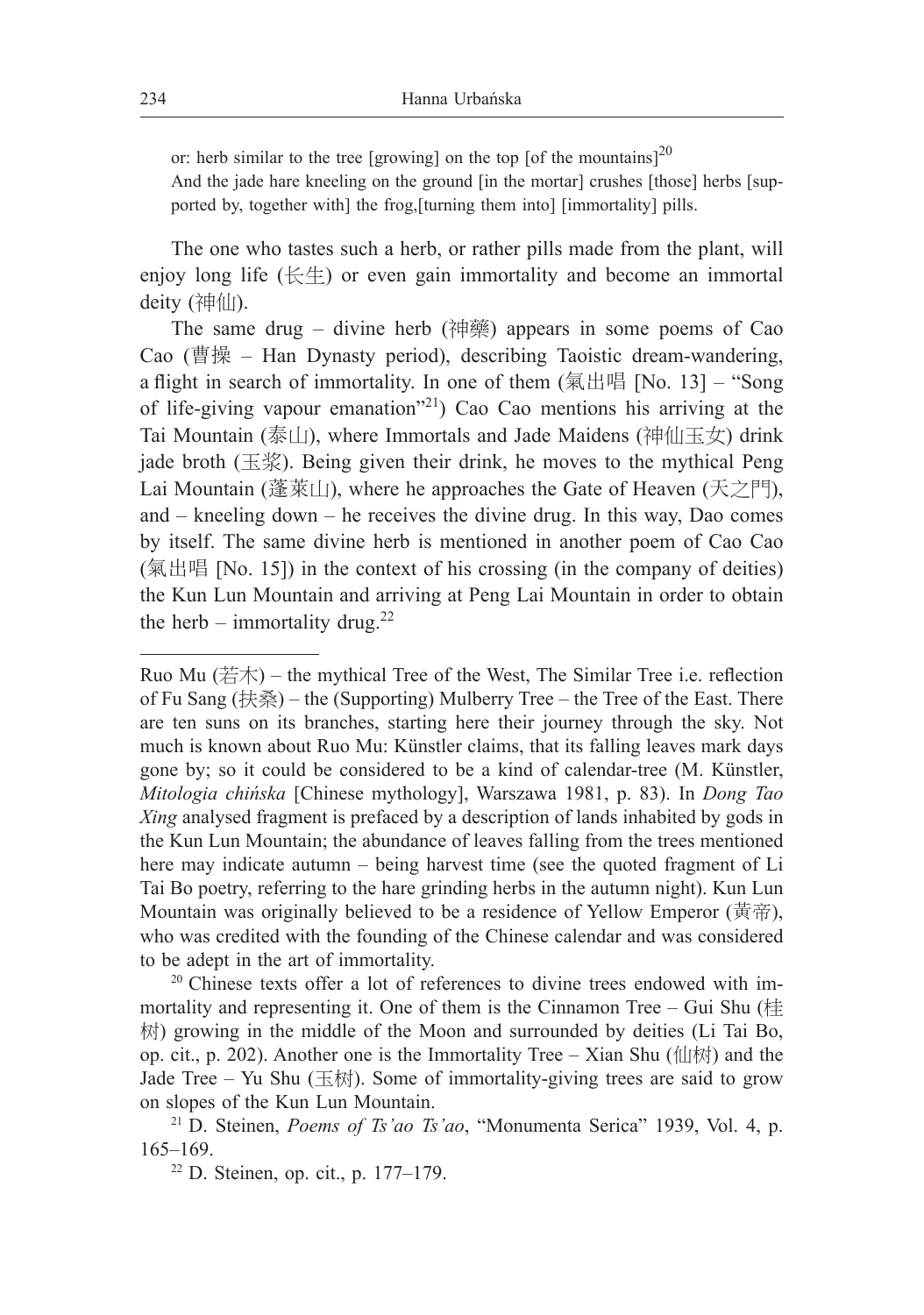or: herb similar to the tree [growing] on the top [of the mountains]<sup>20</sup>

And the jade hare kneeling on the ground [in the mortar] crushes [those] herbs [supported by, together with] the frog,[turning them into] [immortality] pills.

The one who tastes such a herb, or rather pills made from the plant, will enjoy long life  $(\&\&\&)$  or even gain immortality and become an immortal deity (神仙).

The same drug – divine herb (神藥) appears in some poems of Cao Cao (曹操 – Han Dynasty period), describing Taoistic dream-wandering, a flight in search of immortality. In one of them  $(氣出唱$  [No. 13] – "Song of life-giving vapour emanation"21) Cao Cao mentions his arriving at the Tai Mountain (泰山), where Immortals and Jade Maidens (神仙玉女) drink jade broth (玉浆). Being given their drink, he moves to the mythical Peng Lai Mountain (蓬萊山), where he approaches the Gate of Heaven (天之門), and – kneeling down – he receives the divine drug. In this way, Dao comes by itself. The same divine herb is mentioned in another poem of Cao Cao (氣出唱 [No. 15]) in the context of his crossing (in the company of deities) the Kun Lun Mountain and arriving at Peng Lai Mountain in order to obtain the herb – immortality drug.<sup>22</sup>

Ruo Mu  $(\nexists \pi)$  – the mythical Tree of the West, The Similar Tree i.e. reflection of Fu Sang (扶桑) – the (Supporting) Mulberry Tree – the Tree of the East. There are ten suns on its branches, starting here their journey through the sky. Not much is known about Ruo Mu: Künstler claims, that its falling leaves mark days gone by; so it could be considered to be a kind of calendar-tree (M. Künstler, *Mitologia chińska* [Chinese mythology], Warszawa 1981, p. 83). In *Dong Tao Xing* analysed fragment is prefaced by a description of lands inhabited by gods in the Kun Lun Mountain; the abundance of leaves falling from the trees mentioned here may indicate autumn – being harvest time (see the quoted fragment of Li Tai Bo poetry, referring to the hare grinding herbs in the autumn night). Kun Lun Mountain was originally believed to be a residence of Yellow Emperor (黃帝), who was credited with the founding of the Chinese calendar and was considered to be adept in the art of immortality.

 $20$  Chinese texts offer a lot of references to divine trees endowed with immortality and representing it. One of them is the Cinnamon Tree – Gui Shu (桂 树) growing in the middle of the Moon and surrounded by deities (Li Tai Bo, op. cit., p. 202). Another one is the Immortality Tree – Xian Shu (仙树) and the Jade Tree – Yu Shu (玉树). Some of immortality-giving trees are said to grow on slopes of the Kun Lun Mountain.

<sup>21</sup> D. Steinen, *Poems of Ts'ao Ts'ao*, "Monumenta Serica" 1939, Vol. 4, p. 165–169.

<sup>22</sup> D. Steinen, op. cit., p. 177–179.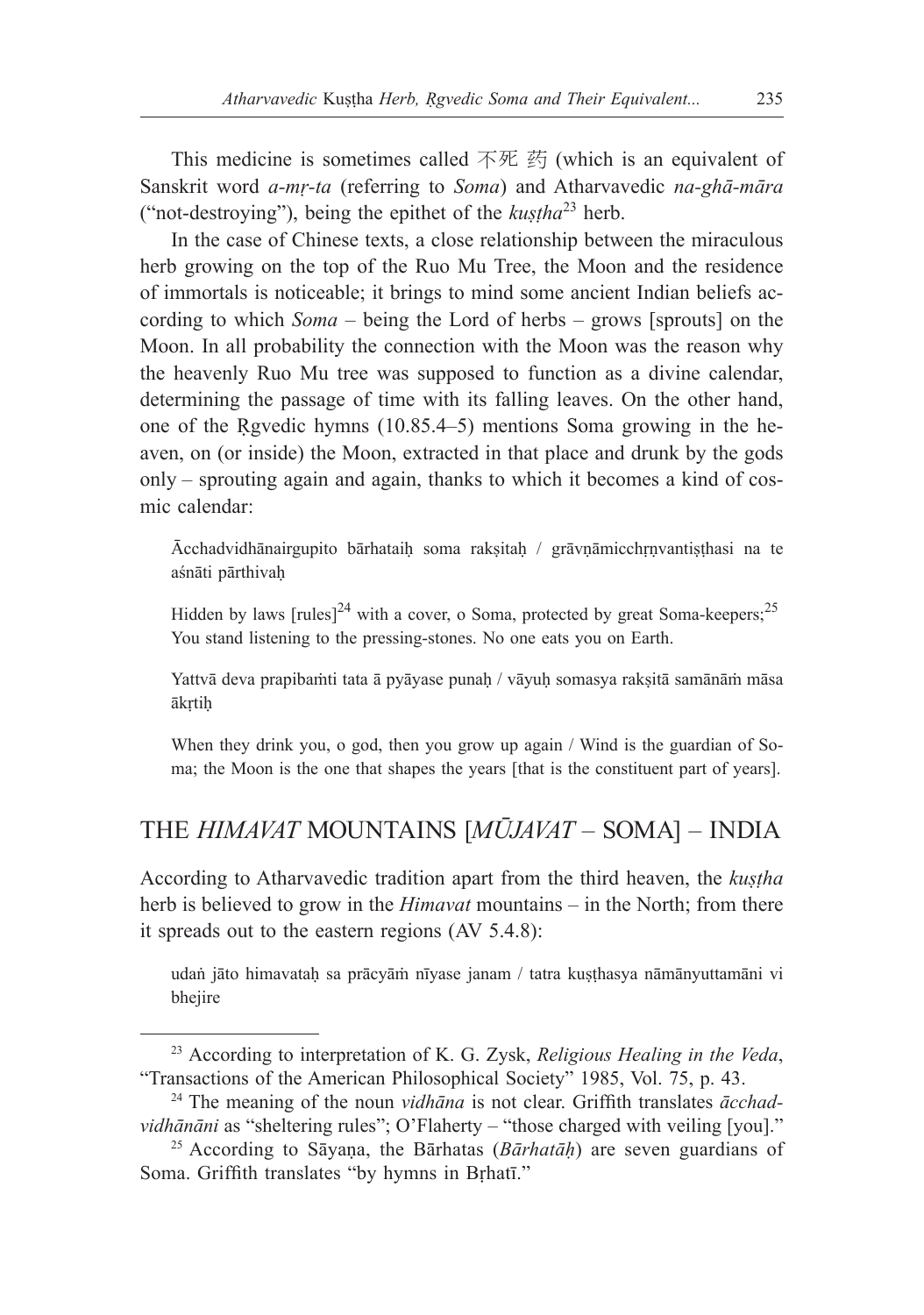This medicine is sometimes called 不死 药 (which is an equivalent of Sanskrit word *a-mṛ-ta* (referring to *Soma*) and Atharvavedic *na-ghā-māra* ("not-destroying"), being the epithet of the *kustha*<sup>23</sup> herb.

In the case of Chinese texts, a close relationship between the miraculous herb growing on the top of the Ruo Mu Tree, the Moon and the residence of immortals is noticeable; it brings to mind some ancient Indian beliefs according to which *Soma* – being the Lord of herbs – grows [sprouts] on the Moon. In all probability the connection with the Moon was the reason why the heavenly Ruo Mu tree was supposed to function as a divine calendar, determining the passage of time with its falling leaves. On the other hand, one of the Rgvedic hymns  $(10.85.4-5)$  mentions Soma growing in the heaven, on (or inside) the Moon, extracted in that place and drunk by the gods only – sprouting again and again, thanks to which it becomes a kind of cosmic calendar:

Ācchadvidhānairgupito bārhataiḥ soma rakṣitaḥ / grāvṇāmicchṛṇvantiṣṭhasi na te aśnāti pārthivaḥ

Hidden by laws  $[rule]^{24}$  with a cover, o Soma, protected by great Soma-keepers;<sup>25</sup> You stand listening to the pressing-stones. No one eats you on Earth.

Yattvā deva prapibaṁti tata ā pyāyase punaḥ / vāyuḥ somasya rakṣitā samānāṁ māsa ākṛtiḥ

When they drink you, o god, then you grow up again / Wind is the guardian of Soma; the Moon is the one that shapes the years [that is the constituent part of years].

## THE *HIMAVAT* MOUNTAINS [*MŪJAVAT* – SOMA] – INDIA

According to Atharvavedic tradition apart from the third heaven, the *kuṣṭha* herb is believed to grow in the *Himavat* mountains – in the North; from there it spreads out to the eastern regions (AV 5.4.8):

udaṅ jāto himavatah sa prācyām nīyase janam / tatra kusthasya nāmānyuttamāni vi bhejire

<sup>23</sup> According to interpretation of K. G. Zysk, *Religious Healing in the Veda*, "Transactions of the American Philosophical Society" 1985, Vol. 75, p. 43.

<sup>24</sup> The meaning of the noun *vidhāna* is not clear. Griffith translates *ācchadvidhānāni* as "sheltering rules"; O'Flaherty – "those charged with veiling [you]."

<sup>25</sup> According to Sāyaṇa, the Bārhatas (*Bārhatāḥ*) are seven guardians of Soma. Griffith translates "by hymns in Bṛhatī."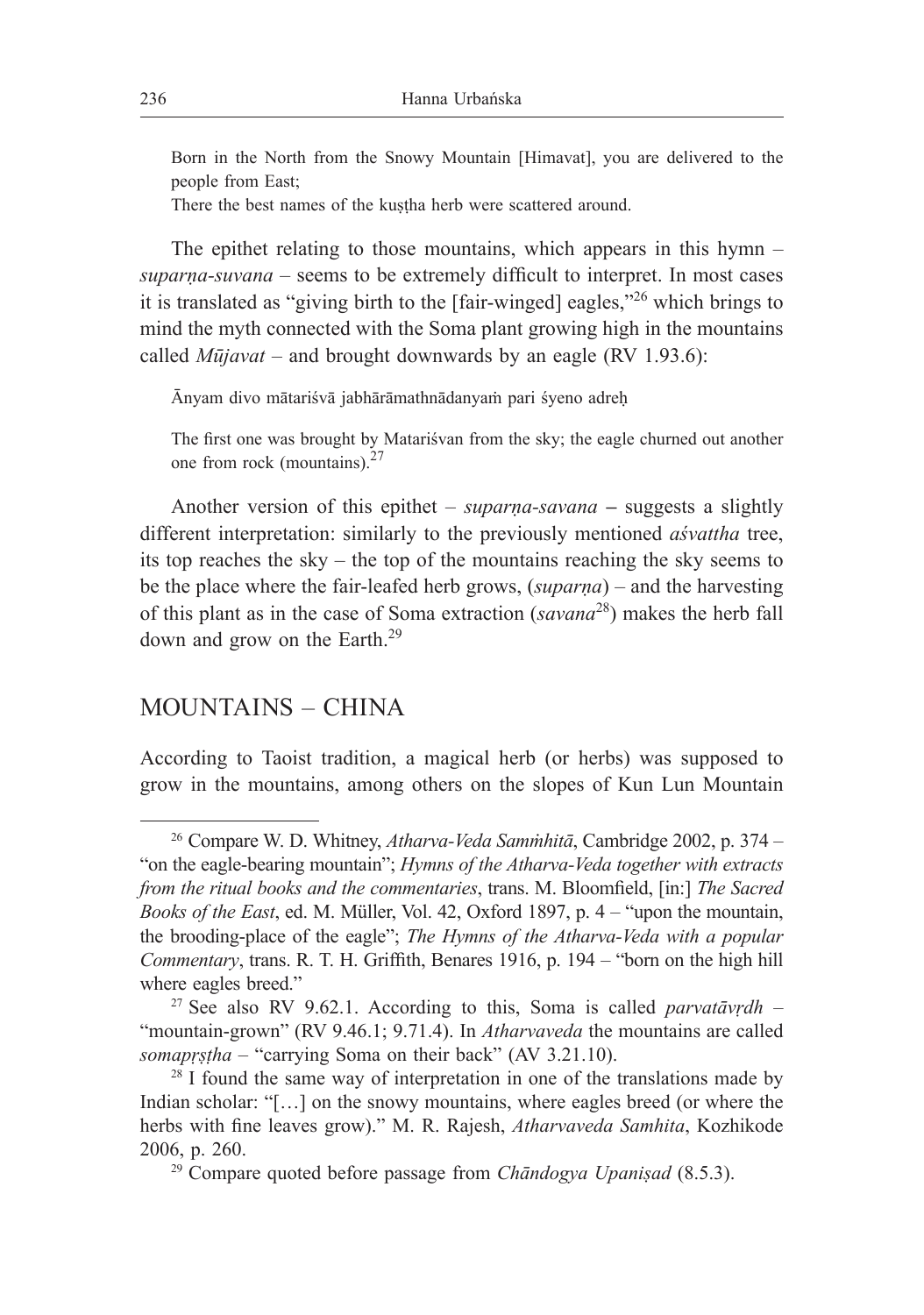Born in the North from the Snowy Mountain [Himavat], you are delivered to the people from East;

There the best names of the kustha herb were scattered around.

The epithet relating to those mountains, which appears in this hymn – *suparṇa-suvana* – seems to be extremely difficult to interpret. In most cases it is translated as "giving birth to the [fair-winged] eagles,"<sup>26</sup> which brings to mind the myth connected with the Soma plant growing high in the mountains called *Mūjavat* – and brought downwards by an eagle (RV 1.93.6):

Ānyam divo mātariśvā jabhārāmathnādanyaṁ pari śyeno adreḥ

The first one was brought by Matariśvan from the sky; the eagle churned out another one from rock (mountains). $27$ 

Another version of this epithet – *suparṇa-savana* **–** suggests a slightly different interpretation: similarly to the previously mentioned *aśvattha* tree, its top reaches the sky – the top of the mountains reaching the sky seems to be the place where the fair-leafed herb grows, (*suparṇa*) – and the harvesting of this plant as in the case of Soma extraction (*savana*<sup>28</sup>) makes the herb fall down and grow on the Earth.<sup>29</sup>

## MOUNTAINS – CHINA

According to Taoist tradition, a magical herb (or herbs) was supposed to grow in the mountains, among others on the slopes of Kun Lun Mountain

<sup>26</sup> Compare W. D. Whitney, *Atharva-Veda Samṁhitā*, Cambridge 2002, p. 374 – "on the eagle-bearing mountain"; *Hymns of the Atharva-Veda together with extracts from the ritual books and the commentaries*, trans. M. Bloomfield, [in:] *The Sacred Books of the East*, ed. M. Müller, Vol. 42, Oxford 1897, p. 4 – "upon the mountain, the brooding-place of the eagle"; *The Hymns of the Atharva-Veda with a popular Commentary*, trans. R. T. H. Griffith, Benares 1916, p. 194 – "born on the high hill where eagles breed."

<sup>27</sup> See also RV 9.62.1. According to this, Soma is called *parvatāvṛdh* – "mountain-grown" (RV 9.46.1; 9.71.4). In *Atharvaveda* the mountains are called *somapṛṣṭha* – "carrying Soma on their back" (AV 3.21.10).

 $28$  I found the same way of interpretation in one of the translations made by Indian scholar: "[...] on the snowy mountains, where eagles breed (or where the herbs with fine leaves grow)." M. R. Rajesh, *Atharvaveda Samhita*, Kozhikode 2006, p. 260.

<sup>29</sup> Compare quoted before passage from *Chāndogya Upaniṣad* (8.5.3).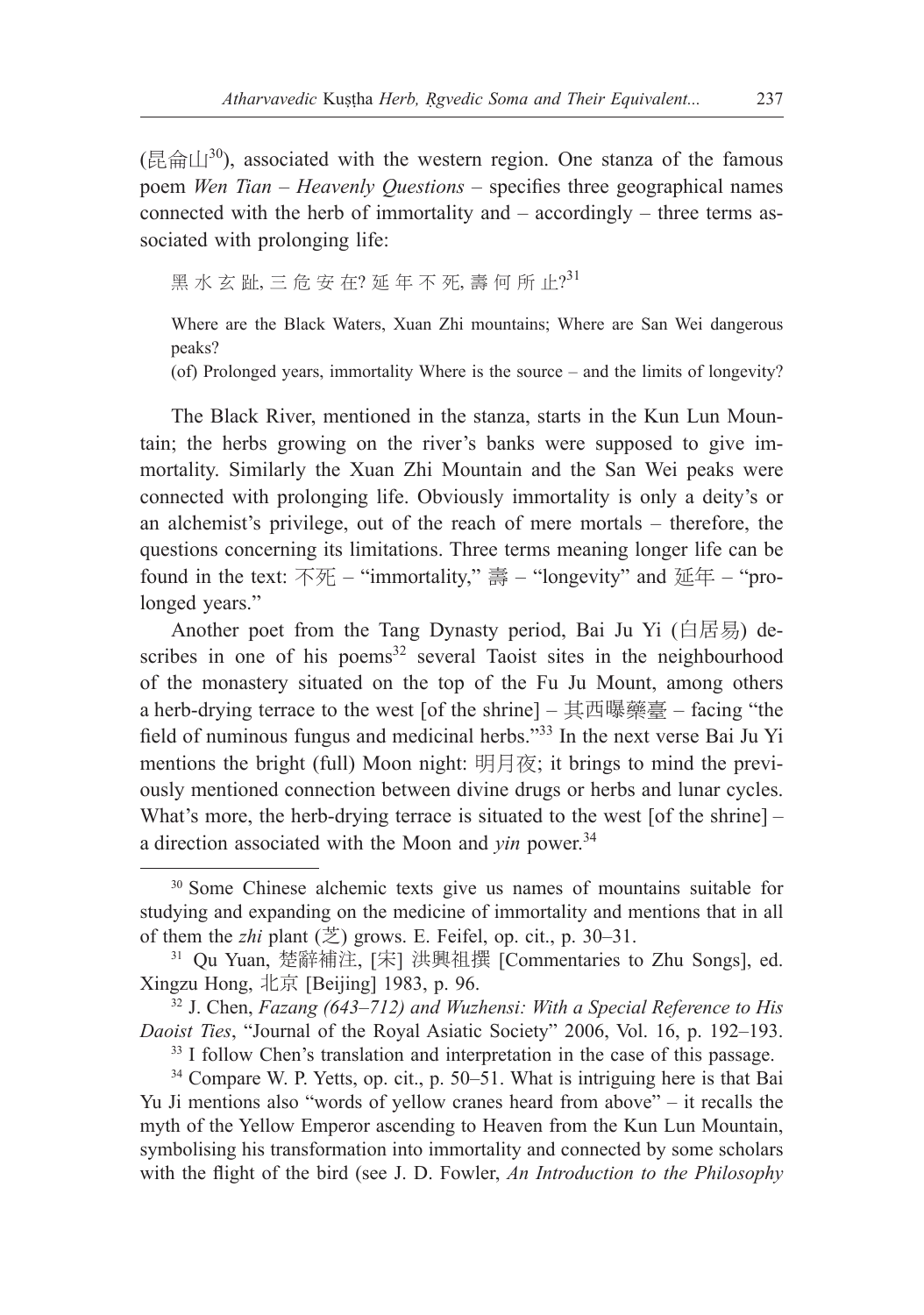(昆侖山<sup>30</sup>), associated with the western region. One stanza of the famous poem *Wen Tian* – *Heavenly Questions –* specifies three geographical names connected with the herb of immortality and – accordingly – three terms associated with prolonging life:

黑 水 玄 趾, 三 危 安 在? 延 年 不 死, 壽 何 所 止?<sup>31</sup>

Where are the Black Waters, Xuan Zhi mountains; Where are San Wei dangerous peaks?

(of) Prolonged years, immortality Where is the source – and the limits of longevity?

The Black River, mentioned in the stanza, starts in the Kun Lun Mountain; the herbs growing on the river's banks were supposed to give immortality. Similarly the Xuan Zhi Mountain and the San Wei peaks were connected with prolonging life. Obviously immortality is only a deity's or an alchemist's privilege, out of the reach of mere mortals – therefore, the questions concerning its limitations. Three terms meaning longer life can be found in the text:  $\overline{R}$  – "immortality," 壽 – "longevity" and 延年 – "prolonged years."

Another poet from the Tang Dynasty period, Bai Ju Yi (白居易) describes in one of his poems $32$  several Taoist sites in the neighbourhood of the monastery situated on the top of the Fu Ju Mount, among others a herb-drying terrace to the west [of the shrine] – 其西曝藥臺 – facing "the field of numinous fungus and medicinal herbs."33 In the next verse Bai Ju Yi mentions the bright (full) Moon night: 明月夜; it brings to mind the previously mentioned connection between divine drugs or herbs and lunar cycles. What's more, the herb-drying terrace is situated to the west [of the shrine] – a direction associated with the Moon and *yin* power.<sup>34</sup>

<sup>&</sup>lt;sup>30</sup> Some Chinese alchemic texts give us names of mountains suitable for studying and expanding on the medicine of immortality and mentions that in all of them the *zhi* plant  $(\Sigma)$  grows. E. Feifel, op. cit., p. 30–31.

<sup>31</sup> Qu Yuan, 楚辭補注, [宋] 洪興祖撰 [Commentaries to Zhu Songs], ed. Xingzu Hong, 北京 [Beijing] 1983, p. 96.

<sup>32</sup> J. Chen, *Fazang (643–712) and Wuzhensi: With a Special Reference to His Daoist Ties*, "Journal of the Royal Asiatic Society" 2006, Vol. 16, p. 192–193.

<sup>&</sup>lt;sup>33</sup> I follow Chen's translation and interpretation in the case of this passage.

<sup>34</sup> Compare W. P. Yetts, op. cit., p. 50–51. What is intriguing here is that Bai Yu Ji mentions also "words of yellow cranes heard from above" – it recalls the myth of the Yellow Emperor ascending to Heaven from the Kun Lun Mountain, symbolising his transformation into immortality and connected by some scholars with the flight of the bird (see J. D. Fowler, *An Introduction to the Philosophy*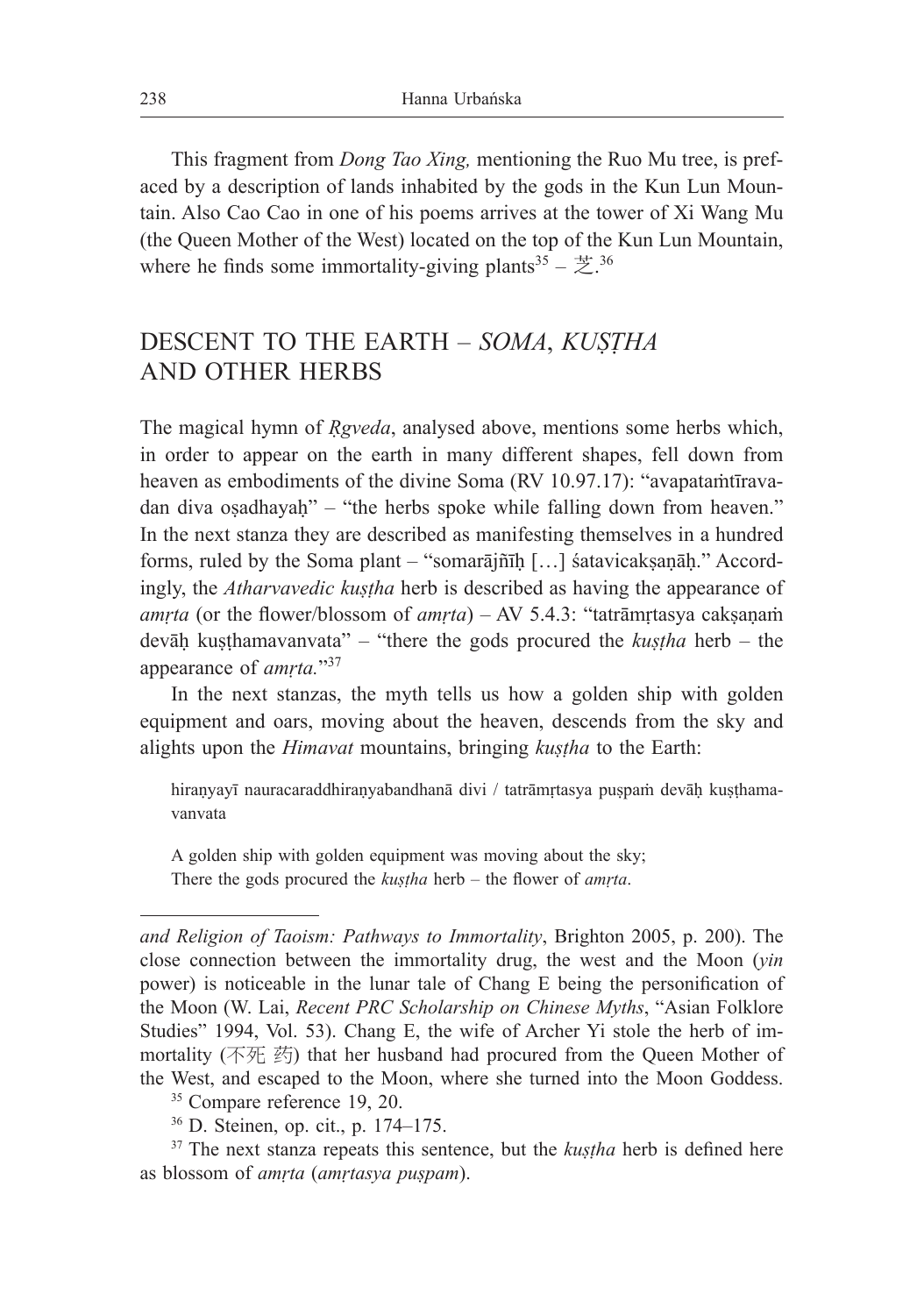This fragment from *Dong Tao Xing,* mentioning the Ruo Mu tree, is prefaced by a description of lands inhabited by the gods in the Kun Lun Mountain. Also Cao Cao in one of his poems arrives at the tower of Xi Wang Mu (the Queen Mother of the West) located on the top of the Kun Lun Mountain, where he finds some immortality-giving plants<sup>35</sup> –  $\ddot{\Xi}$ <sup>36</sup>

# DESCENT TO THE EARTH – *SOMA*, *KUṢṬHA* AND OTHER HERBS

The magical hymn of *Ṛgveda*, analysed above, mentions some herbs which, in order to appear on the earth in many different shapes, fell down from heaven as embodiments of the divine Soma (RV 10.97.17): "avapatamtīravadan diva oṣadhayaḥ" – "the herbs spoke while falling down from heaven." In the next stanza they are described as manifesting themselves in a hundred forms, ruled by the Soma plant – "somarājñīh [...] śatavicakṣanāh." Accordingly, the *Atharvavedic kustha* herb is described as having the appearance of *amṛta* (or the flower/blossom of *amṛta*) – AV 5.4.3: "tatrāmṛtasya cakṣaṇaṁ devāḥ kuṣṭhamavanvata" – "there the gods procured the *kuṣṭha* herb – the appearance of *amṛta.*"37

In the next stanzas, the myth tells us how a golden ship with golden equipment and oars, moving about the heaven, descends from the sky and alights upon the *Himavat* mountains, bringing *kustha* to the Earth:

hiraṇyayī nauracaraddhiraṇyabandhanā divi / tatrāmṛtasya puṣpaṁ devāḥ kuṣṭhamavanvata

A golden ship with golden equipment was moving about the sky; There the gods procured the *kuṣṭha* herb – the flower of *amṛta*.

<sup>35</sup> Compare reference 19, 20.

*and Religion of Taoism: Pathways to Immortality*, Brighton 2005, p. 200). The close connection between the immortality drug, the west and the Moon (*yin* power) is noticeable in the lunar tale of Chang E being the personification of the Moon (W. Lai, *Recent PRC Scholarship on Chinese Myths*, "Asian Folklore Studies" 1994, Vol. 53). Chang E, the wife of Archer Yi stole the herb of immortality (不死 药) that her husband had procured from the Queen Mother of the West, and escaped to the Moon, where she turned into the Moon Goddess.

<sup>36</sup> D. Steinen, op. cit., p. 174–175.

<sup>&</sup>lt;sup>37</sup> The next stanza repeats this sentence, but the *kuṣṭha* herb is defined here as blossom of *amṛta* (*amṛtasya puṣpam*).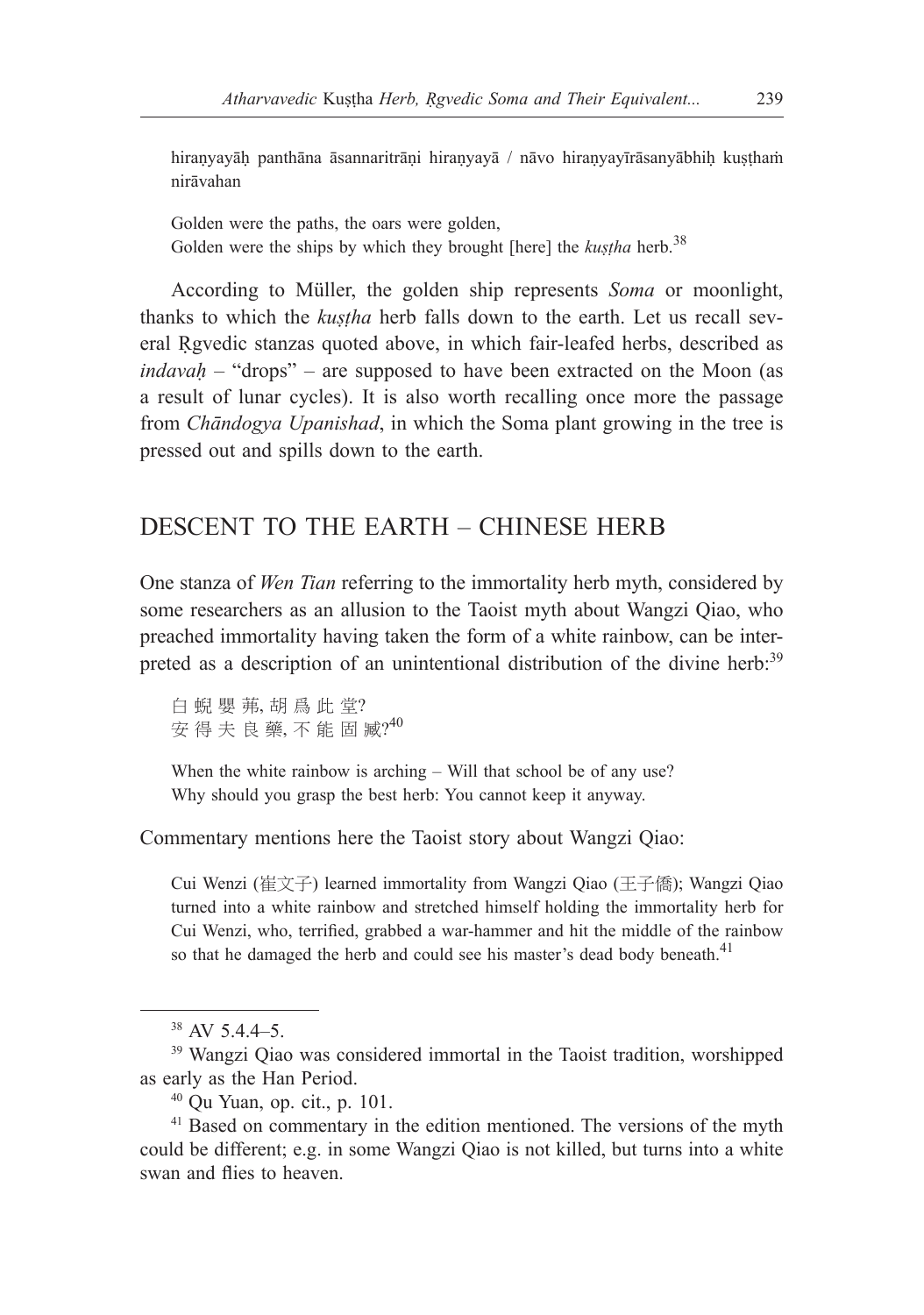hiranyayāḥ panthāna āsannaritrāṇi hiraṇyayā / nāvo hiraṇyayīrāsanyābhiḥ kuṣṭhaṁ nirāvahan

Golden were the paths, the oars were golden, Golden were the ships by which they brought [here] the *kustha* herb.<sup>38</sup>

According to Müller, the golden ship represents *Soma* or moonlight, thanks to which the *kuṣṭha* herb falls down to the earth. Let us recall several Ṛgvedic stanzas quoted above, in which fair-leafed herbs, described as *indavaḥ* – "drops" – are supposed to have been extracted on the Moon (as a result of lunar cycles). It is also worth recalling once more the passage from *Chāndogya Upanishad*, in which the Soma plant growing in the tree is pressed out and spills down to the earth.

## DESCENT TO THE EARTH – CHINESE HERB

One stanza of *Wen Tian* referring to the immortality herb myth, considered by some researchers as an allusion to the Taoist myth about Wangzi Qiao, who preached immortality having taken the form of a white rainbow, can be interpreted as a description of an unintentional distribution of the divine herb:<sup>39</sup>

白 蜺 嬰 茀, 胡 爲 此 堂? 安 得 夫 良 藥, 不 能 固 臧? 40

When the white rainbow is arching – Will that school be of any use? Why should you grasp the best herb: You cannot keep it anyway.

Commentary mentions here the Taoist story about Wangzi Qiao:

Cui Wenzi (崔文子) learned immortality from Wangzi Qiao (王子僑); Wangzi Qiao turned into a white rainbow and stretched himself holding the immortality herb for Cui Wenzi, who, terrified, grabbed a war-hammer and hit the middle of the rainbow so that he damaged the herb and could see his master's dead body beneath.<sup>41</sup>

 $38$  AV 5.4.4–5.

<sup>39</sup> Wangzi Qiao was considered immortal in the Taoist tradition, worshipped as early as the Han Period.

<sup>40</sup> Qu Yuan, op. cit., p. 101.

<sup>&</sup>lt;sup>41</sup> Based on commentary in the edition mentioned. The versions of the myth could be different; e.g. in some Wangzi Qiao is not killed, but turns into a white swan and flies to heaven.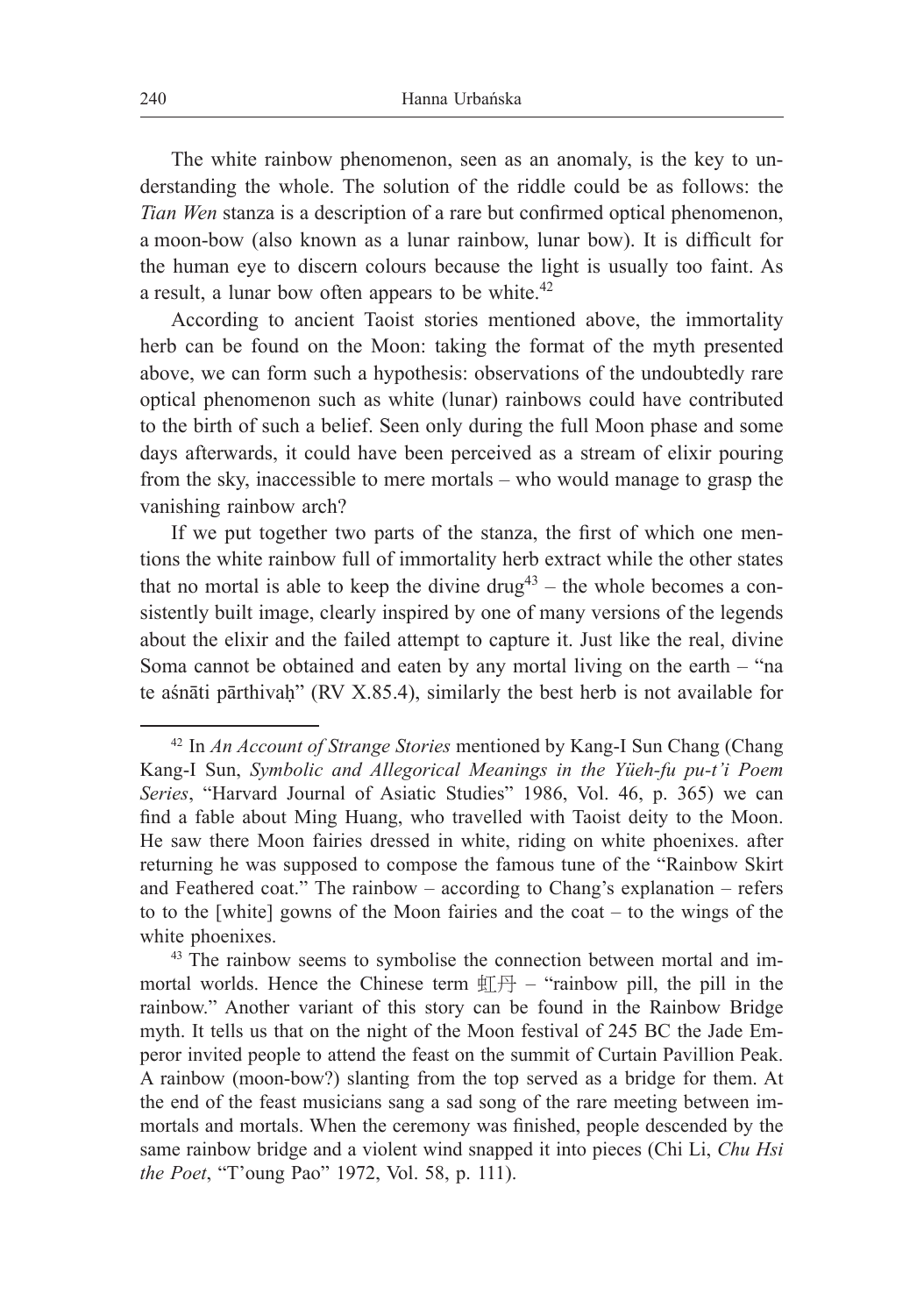The white rainbow phenomenon, seen as an anomaly, is the key to understanding the whole. The solution of the riddle could be as follows: the *Tian Wen* stanza is a description of a rare but confirmed optical phenomenon, a moon-bow (also known as a lunar rainbow, lunar bow). It is difficult for the human eye to discern colours because the light is usually too faint. As a result, a lunar bow often appears to be white.<sup>42</sup>

According to ancient Taoist stories mentioned above, the immortality herb can be found on the Moon: taking the format of the myth presented above, we can form such a hypothesis: observations of the undoubtedly rare optical phenomenon such as white (lunar) rainbows could have contributed to the birth of such a belief. Seen only during the full Moon phase and some days afterwards, it could have been perceived as a stream of elixir pouring from the sky, inaccessible to mere mortals – who would manage to grasp the vanishing rainbow arch?

If we put together two parts of the stanza, the first of which one mentions the white rainbow full of immortality herb extract while the other states that no mortal is able to keep the divine  $d\text{rug}^{43}$  – the whole becomes a consistently built image, clearly inspired by one of many versions of the legends about the elixir and the failed attempt to capture it. Just like the real, divine Soma cannot be obtained and eaten by any mortal living on the earth – "na te aśnāti pārthivah" (RV X.85.4), similarly the best herb is not available for

<sup>42</sup> In *An Account of Strange Stories* mentioned by Kang-I Sun Chang (Chang Kang-I Sun, *Symbolic and Allegorical Meanings in the Yüeh-fu pu-t'i Poem Series*, "Harvard Journal of Asiatic Studies" 1986, Vol. 46, p. 365) we can find a fable about Ming Huang, who travelled with Taoist deity to the Moon. He saw there Moon fairies dressed in white, riding on white phoenixes. after returning he was supposed to compose the famous tune of the "Rainbow Skirt and Feathered coat." The rainbow – according to Chang's explanation – refers to to the [white] gowns of the Moon fairies and the coat – to the wings of the white phoenixes.

<sup>&</sup>lt;sup>43</sup> The rainbow seems to symbolise the connection between mortal and immortal worlds. Hence the Chinese term  $\Pi + -$  "rainbow pill, the pill in the rainbow." Another variant of this story can be found in the Rainbow Bridge myth. It tells us that on the night of the Moon festival of 245 BC the Jade Emperor invited people to attend the feast on the summit of Curtain Pavillion Peak. A rainbow (moon-bow?) slanting from the top served as a bridge for them. At the end of the feast musicians sang a sad song of the rare meeting between immortals and mortals. When the ceremony was finished, people descended by the same rainbow bridge and a violent wind snapped it into pieces (Chi Li, *Chu Hsi the Poet*, "T'oung Pao" 1972, Vol. 58, p. 111).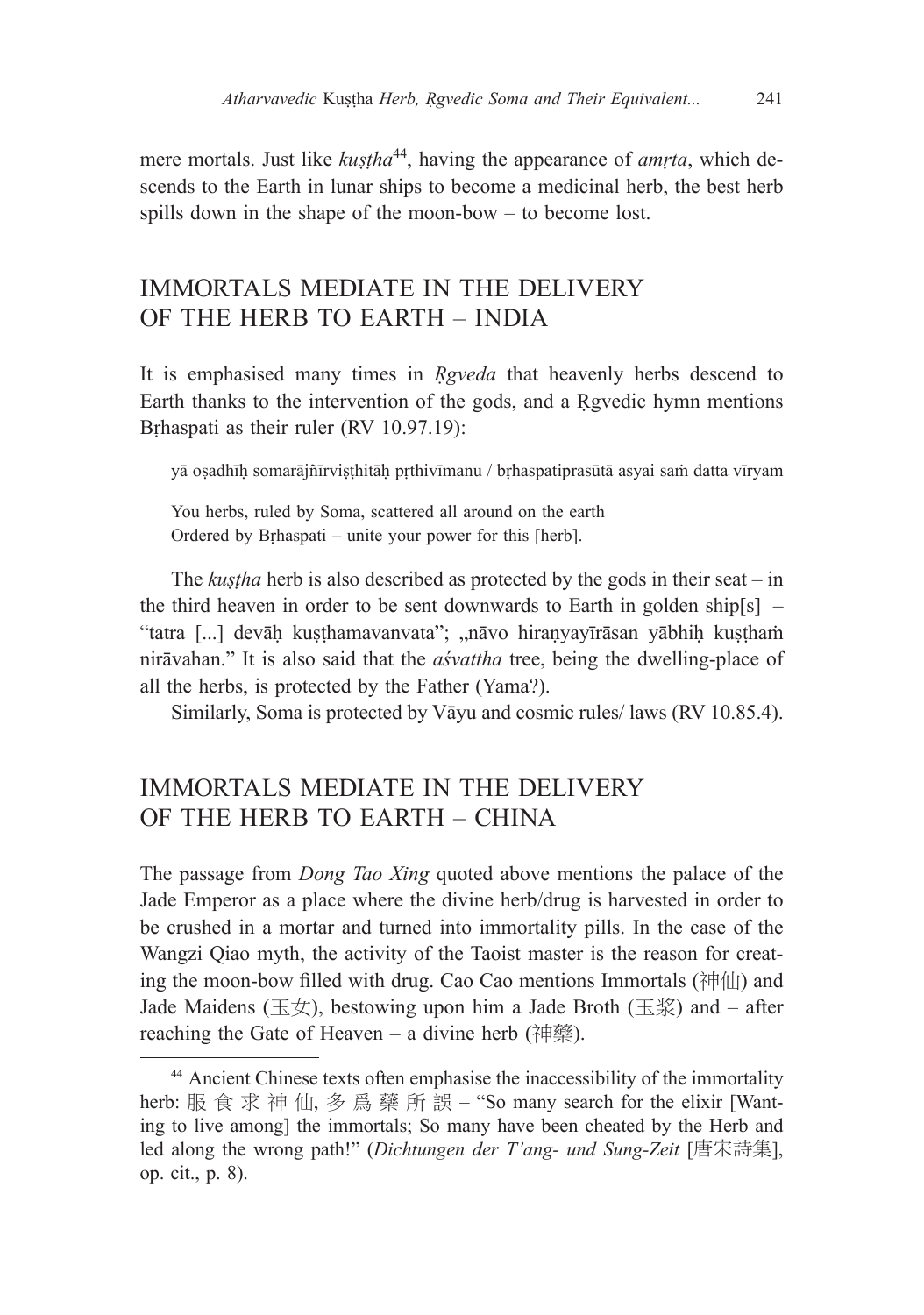mere mortals. Just like *kustha*<sup>44</sup>, having the appearance of *amrta*, which descends to the Earth in lunar ships to become a medicinal herb, the best herb spills down in the shape of the moon-bow – to become lost.

## IMMORTALS MEDIATE IN THE DELIVERY OF THE HERB TO EARTH – INDIA

It is emphasised many times in *Ṛgveda* that heavenly herbs descend to Earth thanks to the intervention of the gods, and a Rgyedic hymn mentions Brhaspati as their ruler (RV 10.97.19):

yā oṣadhīḥ somarājñīrviṣṭhitāḥ pṛthivīmanu / bṛhaspatiprasūtā asyai saṁ datta vīryam

You herbs, ruled by Soma, scattered all around on the earth Ordered by Bṛhaspati – unite your power for this [herb].

The *kustha* herb is also described as protected by the gods in their seat – in the third heaven in order to be sent downwards to Earth in golden ship[s] – "tatra [...] devāḥ kuṣṭhamavanvata"; "nāvo hiraṇyayīrāsan yābhiḥ kuṣṭhaṁ nirāvahan." It is also said that the *aśvattha* tree, being the dwelling-place of all the herbs, is protected by the Father (Yama?).

Similarly, Soma is protected by Vāyu and cosmic rules/ laws (RV 10.85.4).

## IMMORTALS MEDIATE IN THE DELIVERY OF THE HERB TO EARTH – CHINA

The passage from *Dong Tao Xing* quoted above mentions the palace of the Jade Emperor as a place where the divine herb/drug is harvested in order to be crushed in a mortar and turned into immortality pills. In the case of the Wangzi Qiao myth, the activity of the Taoist master is the reason for creating the moon-bow filled with drug. Cao Cao mentions Immortals  $(\hat{A}^{\dagger}||\hat{A})$  and Jade Maidens (玉女), bestowing upon him a Jade Broth (玉浆) and – after reaching the Gate of Heaven – a divine herb (神藥).

<sup>44</sup> Ancient Chinese texts often emphasise the inaccessibility of the immortality herb: 服 食 求 神 仙, 多 爲 藥 所 誤 – "So many search for the elixir [Wanting to live among] the immortals; So many have been cheated by the Herb and led along the wrong path!" (*Dichtungen der T'ang- und Sung-Zeit* [唐宋詩集], op. cit., p. 8).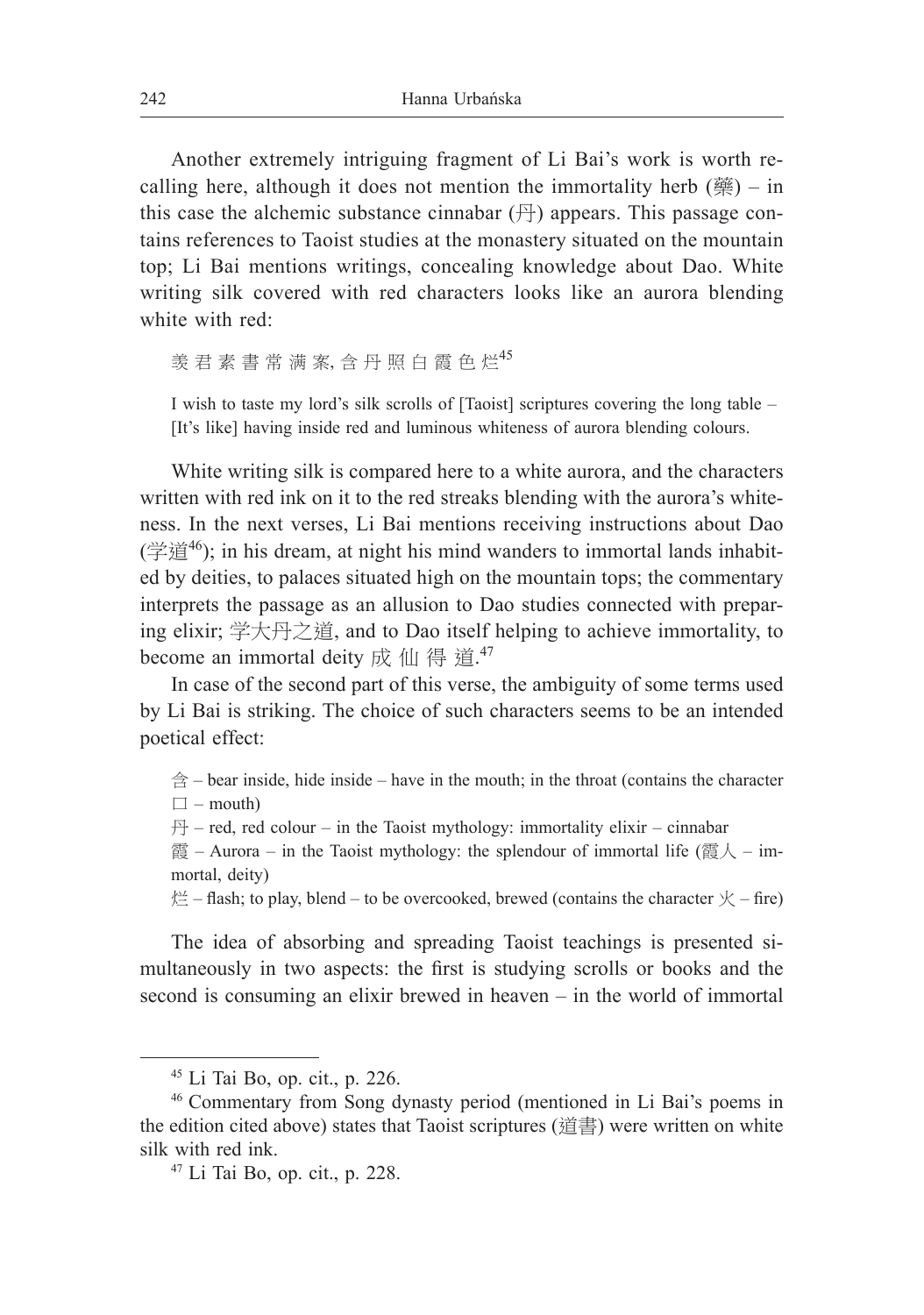Another extremely intriguing fragment of Li Bai's work is worth recalling here, although it does not mention the immortality herb  $(\frac{m}{N})$  – in this case the alchemic substance cinnabar  $(\oplus)$  appears. This passage contains references to Taoist studies at the monastery situated on the mountain top; Li Bai mentions writings, concealing knowledge about Dao. White writing silk covered with red characters looks like an aurora blending white with red:

羡君 素 書 常 满 案, 含 丹 照 白 霞 色 烂  $45$ 

I wish to taste my lord's silk scrolls of [Taoist] scriptures covering the long table – [It's like] having inside red and luminous whiteness of aurora blending colours.

White writing silk is compared here to a white aurora, and the characters written with red ink on it to the red streaks blending with the aurora's whiteness. In the next verses, Li Bai mentions receiving instructions about Dao  $(\ddot{\cong} \ddot{\mathbb{E}}^{46})$ ; in his dream, at night his mind wanders to immortal lands inhabited by deities, to palaces situated high on the mountain tops; the commentary interprets the passage as an allusion to Dao studies connected with preparing elixir; 学大丹之道, and to Dao itself helping to achieve immortality, to become an immortal deity 成 仙 得 道. $47$ 

In case of the second part of this verse, the ambiguity of some terms used by Li Bai is striking. The choice of such characters seems to be an intended poetical effect:

 $\Leftrightarrow$  – bear inside, hide inside – have in the mouth; in the throat (contains the character  $\square$  – mouth)

 $H - red$ , red colour – in the Taoist mythology: immortality elixir – cinnabar

霞 – Aurora – in the Taoist mythology: the splendour of immortal life (霞人 – immortal, deity)

烂 – flash; to play, blend – to be overcooked, brewed (contains the character  $\chi$  – fire)

The idea of absorbing and spreading Taoist teachings is presented simultaneously in two aspects: the first is studying scrolls or books and the second is consuming an elixir brewed in heaven – in the world of immortal

<sup>45</sup> Li Tai Bo, op. cit., p. 226.

<sup>46</sup> Commentary from Song dynasty period (mentioned in Li Bai's poems in the edition cited above) states that Taoist scriptures (道書) were written on white silk with red ink.

<sup>47</sup> Li Tai Bo, op. cit., p. 228.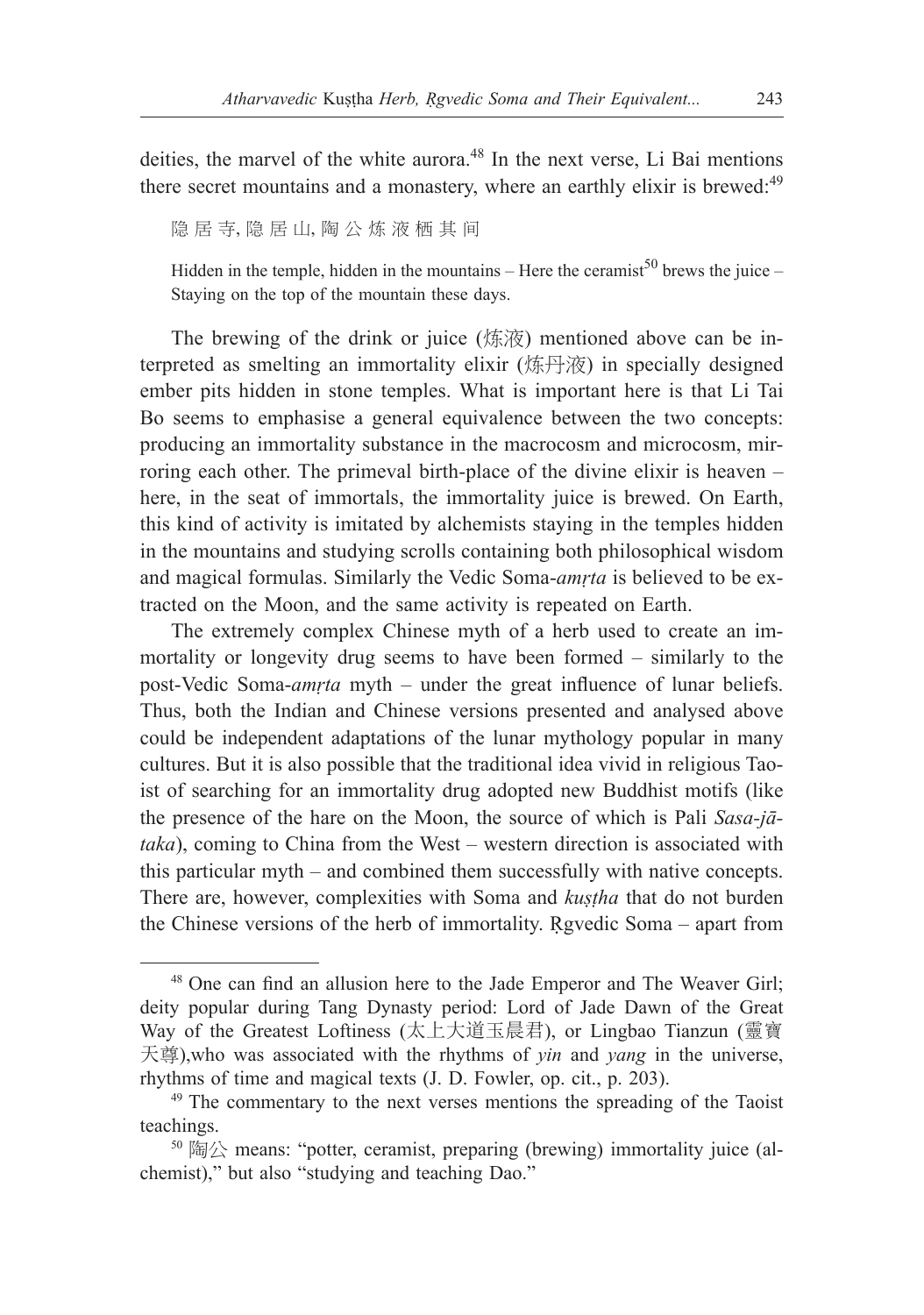deities, the marvel of the white aurora.<sup>48</sup> In the next verse, Li Bai mentions there secret mountains and a monastery, where an earthly elixir is brewed:<sup>49</sup>

隐 居 寺, 隐 居 山, 陶 公 炼 液 栖 其 间

Hidden in the temple, hidden in the mountains – Here the ceramist<sup>50</sup> brews the juice – Staying on the top of the mountain these days.

The brewing of the drink or juice (炼液) mentioned above can be interpreted as smelting an immortality elixir (炼丹液) in specially designed ember pits hidden in stone temples. What is important here is that Li Tai Bo seems to emphasise a general equivalence between the two concepts: producing an immortality substance in the macrocosm and microcosm, mirroring each other. The primeval birth-place of the divine elixir is heaven – here, in the seat of immortals, the immortality juice is brewed. On Earth, this kind of activity is imitated by alchemists staying in the temples hidden in the mountains and studying scrolls containing both philosophical wisdom and magical formulas. Similarly the Vedic Soma-*amṛta* is believed to be extracted on the Moon, and the same activity is repeated on Earth.

The extremely complex Chinese myth of a herb used to create an immortality or longevity drug seems to have been formed – similarly to the post-Vedic Soma-*amṛta* myth – under the great influence of lunar beliefs. Thus, both the Indian and Chinese versions presented and analysed above could be independent adaptations of the lunar mythology popular in many cultures. But it is also possible that the traditional idea vivid in religious Taoist of searching for an immortality drug adopted new Buddhist motifs (like the presence of the hare on the Moon, the source of which is Pali *Sasa-jātaka*), coming to China from the West – western direction is associated with this particular myth – and combined them successfully with native concepts. There are, however, complexities with Soma and *kuṣṭha* that do not burden the Chinese versions of the herb of immortality. Ṛgvedic Soma – apart from

<sup>&</sup>lt;sup>48</sup> One can find an allusion here to the Jade Emperor and The Weaver Girl; deity popular during Tang Dynasty period: Lord of Jade Dawn of the Great Way of the Greatest Loftiness (太上大道玉晨君), or Lingbao Tianzun (靈寶 天尊),who was associated with the rhythms of *yin* and *yang* in the universe, rhythms of time and magical texts (J. D. Fowler, op. cit., p. 203).

<sup>&</sup>lt;sup>49</sup> The commentary to the next verses mentions the spreading of the Taoist teachings.

<sup>50</sup> 陶公 means: "potter, ceramist, preparing (brewing) immortality juice (alchemist)," but also "studying and teaching Dao."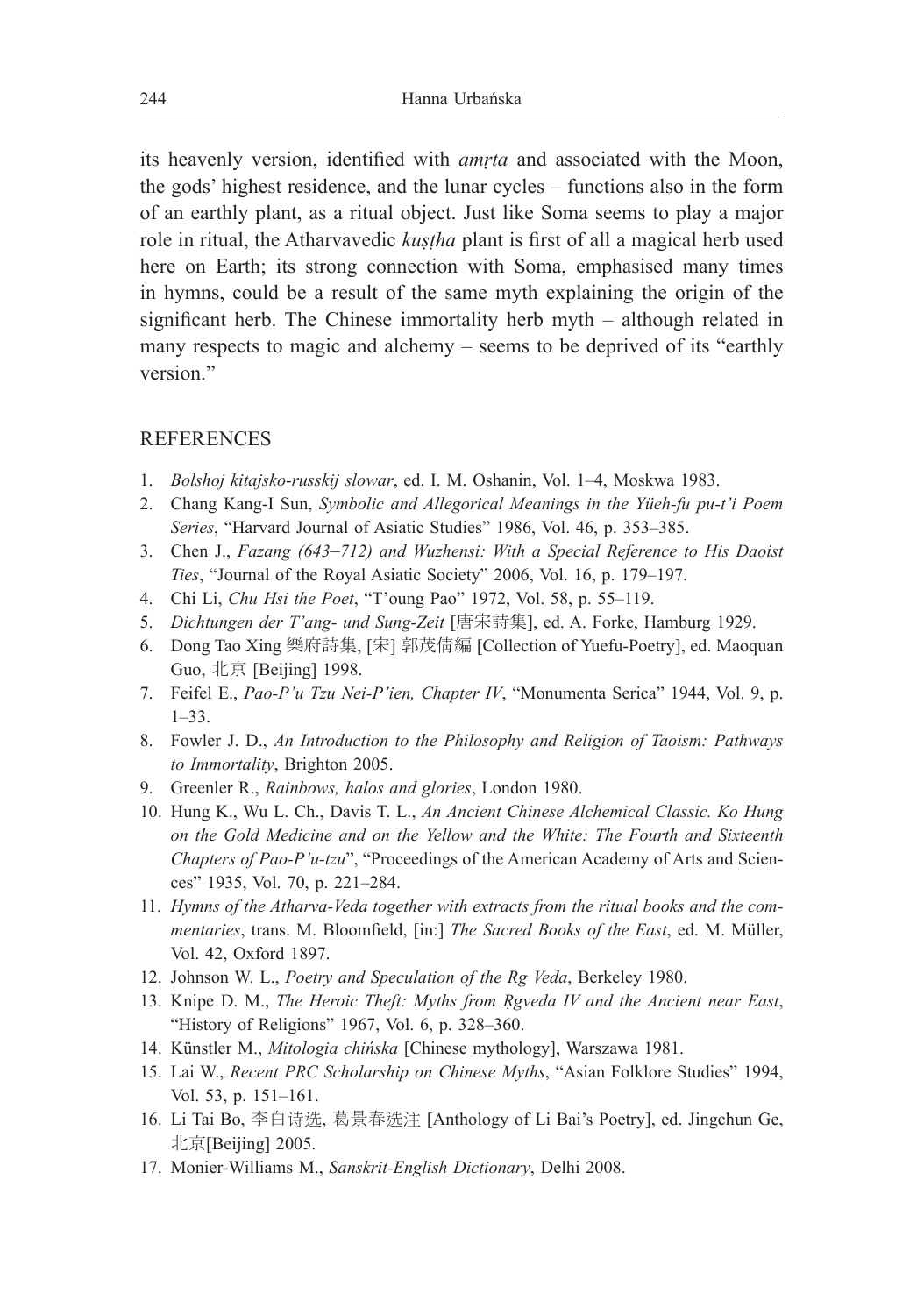its heavenly version, identified with *amṛta* and associated with the Moon, the gods' highest residence, and the lunar cycles – functions also in the form of an earthly plant, as a ritual object. Just like Soma seems to play a major role in ritual, the Atharvavedic *kuṣṭha* plant is first of all a magical herb used here on Earth; its strong connection with Soma, emphasised many times in hymns, could be a result of the same myth explaining the origin of the significant herb. The Chinese immortality herb myth – although related in many respects to magic and alchemy – seems to be deprived of its "earthly version."

### **REFERENCES**

- 1. *Bolshoj kitajsko-russkij slowar*, ed. I. M. Oshanin, Vol. 1–4, Moskwa 1983.
- 2. Chang Kang-I Sun, *Symbolic and Allegorical Meanings in the Yüeh-fu pu-t'i Poem Series*, "Harvard Journal of Asiatic Studies" 1986, Vol. 46, p. 353–385.
- 3. Chen J., *Fazang (643*–*712) and Wuzhensi: With a Special Reference to His Daoist Ties*, "Journal of the Royal Asiatic Society" 2006, Vol. 16, p. 179–197.
- 4. Chi Li, *Chu Hsi the Poet*, "T'oung Pao" 1972, Vol. 58, p. 55–119.
- 5. *Dichtungen der T'ang- und Sung-Zeit* [唐宋詩集], ed. A. Forke, Hamburg 1929.
- 6. Dong Tao Xing 樂府詩集, [宋] 郭茂倩編 [Collection of Yuefu-Poetry], ed. Maoquan Guo, 北京 [Beijing] 1998.
- 7. Feifel E., *Pao-P'u Tzu Nei-P'ien, Chapter IV*, "Monumenta Serica" 1944, Vol. 9, p. 1–33.
- 8. Fowler J. D., *An Introduction to the Philosophy and Religion of Taoism: Pathways to Immortality*, Brighton 2005.
- 9. Greenler R., *Rainbows, halos and glories*, London 1980.
- 10. Hung K., Wu L. Ch., Davis T. L., *An Ancient Chinese Alchemical Classic. Ko Hung on the Gold Medicine and on the Yellow and the White: The Fourth and Sixteenth Chapters of Pao-P'u-tzu*", "Proceedings of the American Academy of Arts and Sciences" 1935, Vol. 70, p. 221–284.
- 11. *Hymns of the Atharva-Veda together with extracts from the ritual books and the commentaries*, trans. M. Bloomfield, [in:] *The Sacred Books of the East*, ed. M. Müller, Vol. 42, Oxford 1897.
- 12. Johnson W. L., *Poetry and Speculation of the Rg Veda*, Berkeley 1980.
- 13. Knipe D. M., *The Heroic Theft: Myths from Ṛgveda IV and the Ancient near East*, "History of Religions" 1967, Vol. 6, p. 328–360.
- 14. Künstler M., *Mitologia chińska* [Chinese mythology], Warszawa 1981.
- 15. Lai W., *Recent PRC Scholarship on Chinese Myths*, "Asian Folklore Studies" 1994, Vol. 53, p. 151–161.
- 16. Li Tai Bo, 李白诗选, 葛景春选注 [Anthology of Li Bai's Poetry], ed. Jingchun Ge, 北京[Beijing] 2005.
- 17. Monier-Williams M., *Sanskrit-English Dictionary*, Delhi 2008.